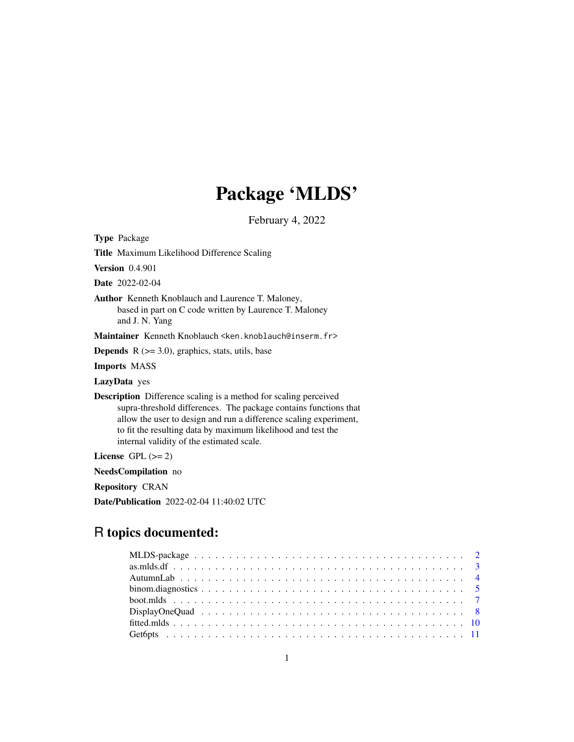# Package 'MLDS'

February 4, 2022

<span id="page-0-0"></span>Type Package

Title Maximum Likelihood Difference Scaling

Version 0.4.901

Date 2022-02-04

Author Kenneth Knoblauch and Laurence T. Maloney, based in part on C code written by Laurence T. Maloney and J. N. Yang

Maintainer Kenneth Knoblauch <ken.knoblauch@inserm.fr>

**Depends**  $R$  ( $>= 3.0$ ), graphics, stats, utils, base

Imports MASS

LazyData yes

Description Difference scaling is a method for scaling perceived supra-threshold differences. The package contains functions that allow the user to design and run a difference scaling experiment, to fit the resulting data by maximum likelihood and test the internal validity of the estimated scale.

License GPL  $(>= 2)$ 

NeedsCompilation no

Repository CRAN

Date/Publication 2022-02-04 11:40:02 UTC

# R topics documented: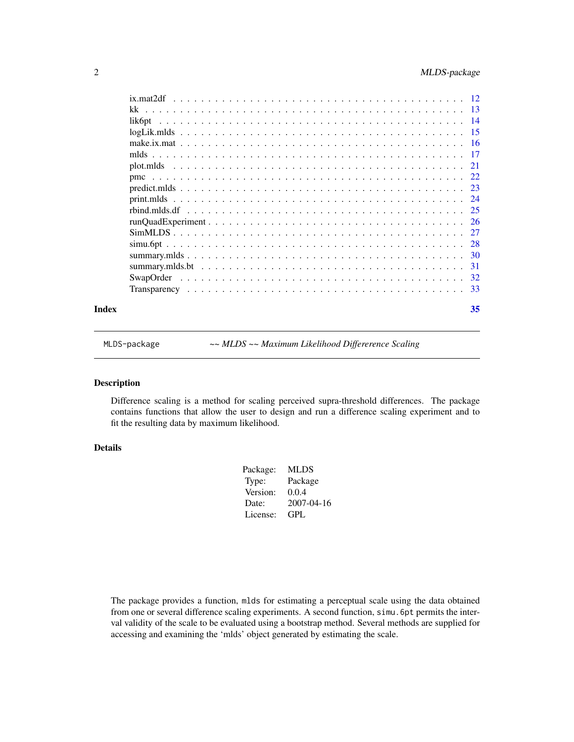<span id="page-1-0"></span>

| Index | 35 |
|-------|----|
|       |    |
|       |    |
|       |    |
|       |    |
|       |    |
|       |    |
|       |    |
|       |    |
|       |    |
|       |    |
|       |    |
|       |    |
|       |    |
|       |    |
|       |    |
|       |    |
|       |    |
|       |    |

MLDS-package *~~ MLDS ~~ Maximum Likelihood Differerence Scaling*

# Description

Difference scaling is a method for scaling perceived supra-threshold differences. The package contains functions that allow the user to design and run a difference scaling experiment and to fit the resulting data by maximum likelihood.

# Details

| Package: | <b>MLDS</b> |
|----------|-------------|
| Type:    | Package     |
| Version: | 0.0.4       |
| Date:    | 2007-04-16  |
| License: | GPL         |
|          |             |

The package provides a function, mlds for estimating a perceptual scale using the data obtained from one or several difference scaling experiments. A second function, simu.6pt permits the interval validity of the scale to be evaluated using a bootstrap method. Several methods are supplied for accessing and examining the 'mlds' object generated by estimating the scale.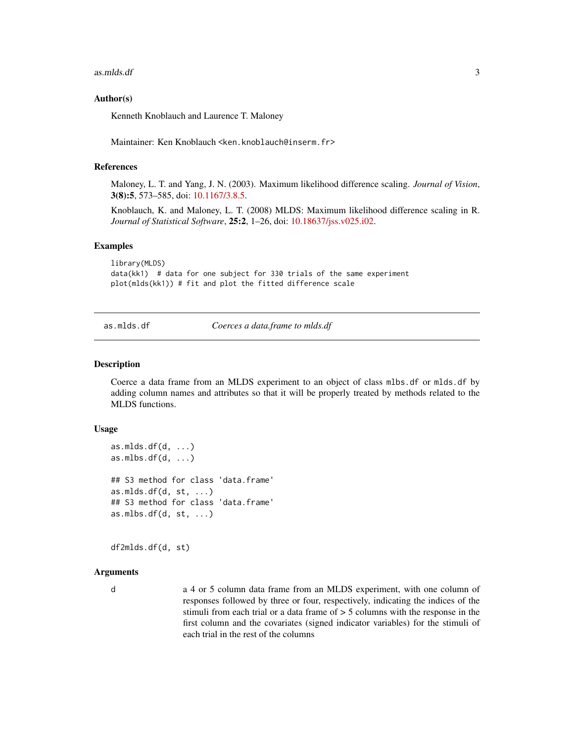<span id="page-2-0"></span>as.mlds.df 3

#### Author(s)

Kenneth Knoblauch and Laurence T. Maloney

Maintainer: Ken Knoblauch <ken.knoblauch@inserm.fr>

# References

Maloney, L. T. and Yang, J. N. (2003). Maximum likelihood difference scaling. *Journal of Vision*, 3(8):5, 573–585, doi: [10.1167/3.8.5.](https://doi.org/10.1167/3.8.5)

Knoblauch, K. and Maloney, L. T. (2008) MLDS: Maximum likelihood difference scaling in R. *Journal of Statistical Software*, 25:2, 1–26, doi: [10.18637/jss.v025.i02.](https://doi.org/10.18637/jss.v025.i02)

#### Examples

```
library(MLDS)
data(kk1) # data for one subject for 330 trials of the same experiment
plot(mlds(kk1)) # fit and plot the fitted difference scale
```
as.mlds.df *Coerces a data.frame to mlds.df*

#### Description

Coerce a data frame from an MLDS experiment to an object of class mlbs.df or mlds.df by adding column names and attributes so that it will be properly treated by methods related to the MLDS functions.

#### Usage

```
as.mlds.df(d, ...)as.mlbs.df(d, ...)## S3 method for class 'data.frame'
as.mlds.df(d, st, ...)## S3 method for class 'data.frame'
as.mlbs.df(d, st, ...)
```
df2mlds.df(d, st)

# Arguments

d a 4 or 5 column data frame from an MLDS experiment, with one column of responses followed by three or four, respectively, indicating the indices of the stimuli from each trial or a data frame of > 5 columns with the response in the first column and the covariates (signed indicator variables) for the stimuli of each trial in the rest of the columns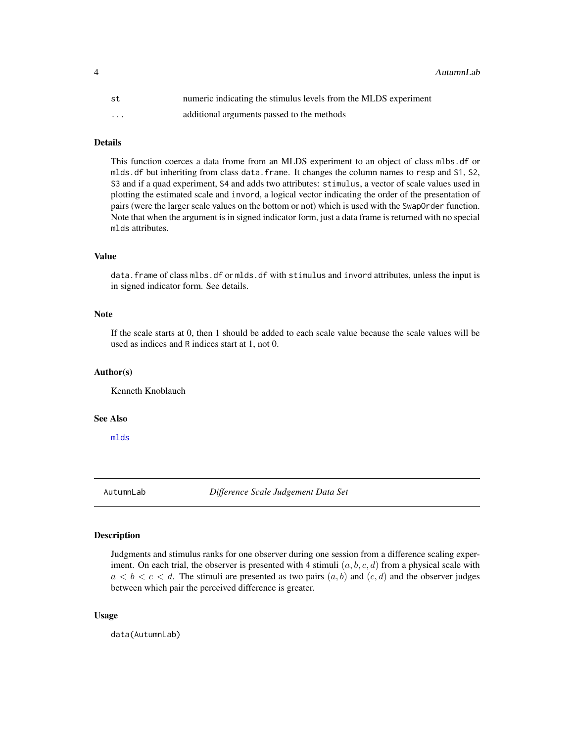<span id="page-3-0"></span>4 AutumnLab

| st                      | numeric indicating the stimulus levels from the MLDS experiment |
|-------------------------|-----------------------------------------------------------------|
| $\cdot$ $\cdot$ $\cdot$ | additional arguments passed to the methods                      |

# Details

This function coerces a data frome from an MLDS experiment to an object of class mlbs.df or mlds.df but inheriting from class data.frame. It changes the column names to resp and S1, S2, S3 and if a quad experiment, S4 and adds two attributes: stimulus, a vector of scale values used in plotting the estimated scale and invord, a logical vector indicating the order of the presentation of pairs (were the larger scale values on the bottom or not) which is used with the SwapOrder function. Note that when the argument is in signed indicator form, just a data frame is returned with no special mlds attributes.

#### Value

data.frame of class mlbs.df or mlds.df with stimulus and invord attributes, unless the input is in signed indicator form. See details.

# Note

If the scale starts at 0, then 1 should be added to each scale value because the scale values will be used as indices and R indices start at 1, not 0.

#### Author(s)

Kenneth Knoblauch

# See Also

[mlds](#page-16-1)

AutumnLab *Difference Scale Judgement Data Set*

# Description

Judgments and stimulus ranks for one observer during one session from a difference scaling experiment. On each trial, the observer is presented with 4 stimuli  $(a, b, c, d)$  from a physical scale with  $a < b < c < d$ . The stimuli are presented as two pairs  $(a, b)$  and  $(c, d)$  and the observer judges between which pair the perceived difference is greater.

#### Usage

data(AutumnLab)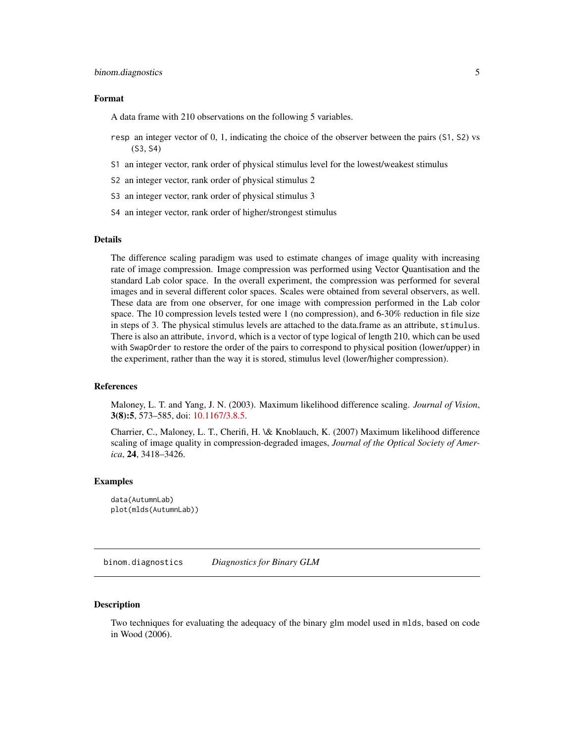#### <span id="page-4-0"></span>Format

A data frame with 210 observations on the following 5 variables.

- resp an integer vector of 0, 1, indicating the choice of the observer between the pairs (S1, S2) vs (S3, S4)
- S1 an integer vector, rank order of physical stimulus level for the lowest/weakest stimulus
- S2 an integer vector, rank order of physical stimulus 2
- S3 an integer vector, rank order of physical stimulus 3
- S4 an integer vector, rank order of higher/strongest stimulus

#### Details

The difference scaling paradigm was used to estimate changes of image quality with increasing rate of image compression. Image compression was performed using Vector Quantisation and the standard Lab color space. In the overall experiment, the compression was performed for several images and in several different color spaces. Scales were obtained from several observers, as well. These data are from one observer, for one image with compression performed in the Lab color space. The 10 compression levels tested were 1 (no compression), and 6-30% reduction in file size in steps of 3. The physical stimulus levels are attached to the data.frame as an attribute, stimulus. There is also an attribute, invord, which is a vector of type logical of length 210, which can be used with SwapOrder to restore the order of the pairs to correspond to physical position (lower/upper) in the experiment, rather than the way it is stored, stimulus level (lower/higher compression).

# References

Maloney, L. T. and Yang, J. N. (2003). Maximum likelihood difference scaling. *Journal of Vision*, 3(8):5, 573–585, doi: [10.1167/3.8.5.](https://doi.org/10.1167/3.8.5)

Charrier, C., Maloney, L. T., Cherifi, H. \& Knoblauch, K. (2007) Maximum likelihood difference scaling of image quality in compression-degraded images, *Journal of the Optical Society of America*, 24, 3418–3426.

#### Examples

```
data(AutumnLab)
plot(mlds(AutumnLab))
```
binom.diagnostics *Diagnostics for Binary GLM*

#### **Description**

Two techniques for evaluating the adequacy of the binary glm model used in mlds, based on code in Wood (2006).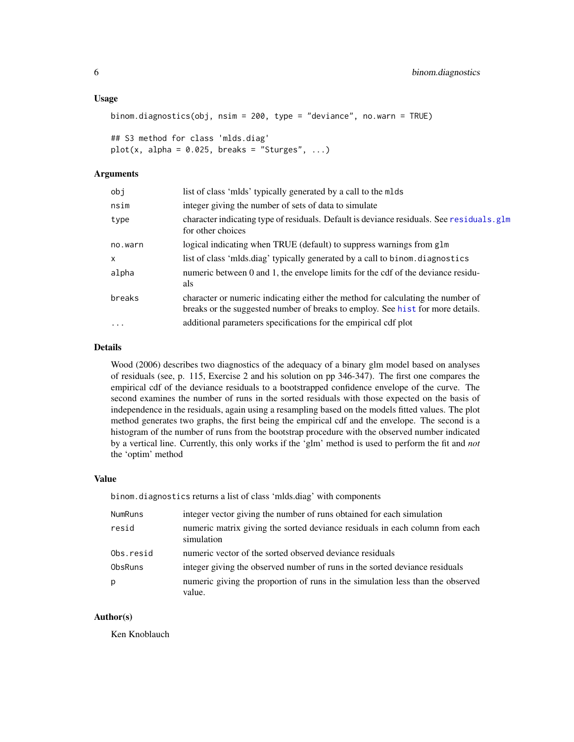#### <span id="page-5-0"></span>Usage

```
binom.diagnostics(obj, nsim = 200, type = "deviance", no.warn = TRUE)
```

```
## S3 method for class 'mlds.diag'
plot(x, alpha = 0.025, breaks = "Sturges", ...)
```
#### Arguments

| obj      | list of class 'mlds' typically generated by a call to the mlds                                                                                                    |
|----------|-------------------------------------------------------------------------------------------------------------------------------------------------------------------|
| nsim     | integer giving the number of sets of data to simulate                                                                                                             |
| type     | character indicating type of residuals. Default is deviance residuals. See residuals. glm<br>for other choices                                                    |
| no.warn  | logical indicating when TRUE (default) to suppress warnings from glm                                                                                              |
| X        | list of class 'mids.diag' typically generated by a call to binom.diagnostics                                                                                      |
| alpha    | numeric between 0 and 1, the envelope limits for the cdf of the deviance residu-<br>als                                                                           |
| breaks   | character or numeric indicating either the method for calculating the number of<br>breaks or the suggested number of breaks to employ. See hist for more details. |
| $\cdots$ | additional parameters specifications for the empirical cdf plot                                                                                                   |

# Details

Wood (2006) describes two diagnostics of the adequacy of a binary glm model based on analyses of residuals (see, p. 115, Exercise 2 and his solution on pp 346-347). The first one compares the empirical cdf of the deviance residuals to a bootstrapped confidence envelope of the curve. The second examines the number of runs in the sorted residuals with those expected on the basis of independence in the residuals, again using a resampling based on the models fitted values. The plot method generates two graphs, the first being the empirical cdf and the envelope. The second is a histogram of the number of runs from the bootstrap procedure with the observed number indicated by a vertical line. Currently, this only works if the 'glm' method is used to perform the fit and *not* the 'optim' method

# Value

binom.diagnostics returns a list of class 'mlds.diag' with components

| <b>NumRuns</b> | integer vector giving the number of runs obtained for each simulation                      |
|----------------|--------------------------------------------------------------------------------------------|
| resid          | numeric matrix giving the sorted deviance residuals in each column from each<br>simulation |
| Obs.resid      | numeric vector of the sorted observed deviance residuals                                   |
| <b>ObsRuns</b> | integer giving the observed number of runs in the sorted deviance residuals                |
| р              | numeric giving the proportion of runs in the simulation less than the observed<br>value.   |

#### Author(s)

Ken Knoblauch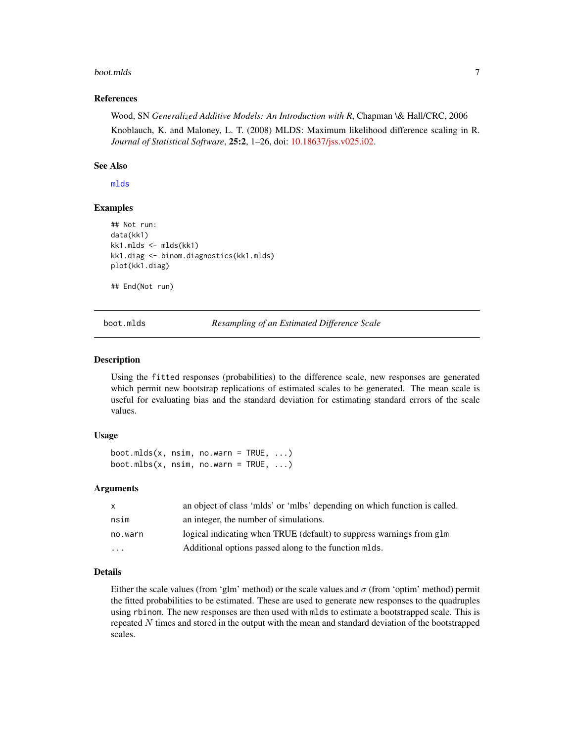#### <span id="page-6-0"></span>boot.mlds 7

#### References

Wood, SN *Generalized Additive Models: An Introduction with R*, Chapman \& Hall/CRC, 2006

Knoblauch, K. and Maloney, L. T. (2008) MLDS: Maximum likelihood difference scaling in R. *Journal of Statistical Software*, 25:2, 1–26, doi: [10.18637/jss.v025.i02.](https://doi.org/10.18637/jss.v025.i02)

# See Also

[mlds](#page-16-1)

#### Examples

```
## Not run:
data(kk1)
kk1.mlds <- mlds(kk1)
kk1.diag <- binom.diagnostics(kk1.mlds)
plot(kk1.diag)
```
## End(Not run)

<span id="page-6-1"></span>boot.mlds *Resampling of an Estimated Difference Scale*

#### Description

Using the fitted responses (probabilities) to the difference scale, new responses are generated which permit new bootstrap replications of estimated scales to be generated. The mean scale is useful for evaluating bias and the standard deviation for estimating standard errors of the scale values.

# Usage

 $boot.mlds(x, nsim, no.warn = TRUE, ...)$ boot.mlbs(x, nsim, no.warn = TRUE,  $\ldots$ )

# **Arguments**

| X        | an object of class 'milds' or 'milds' depending on which function is called. |
|----------|------------------------------------------------------------------------------|
| nsim     | an integer, the number of simulations.                                       |
| no.warn  | logical indicating when TRUE (default) to suppress warnings from glm         |
| $\cdots$ | Additional options passed along to the function mlds.                        |

# Details

Either the scale values (from 'glm' method) or the scale values and  $\sigma$  (from 'optim' method) permit the fitted probabilities to be estimated. These are used to generate new responses to the quadruples using rbinom. The new responses are then used with mlds to estimate a bootstrapped scale. This is repeated N times and stored in the output with the mean and standard deviation of the bootstrapped scales.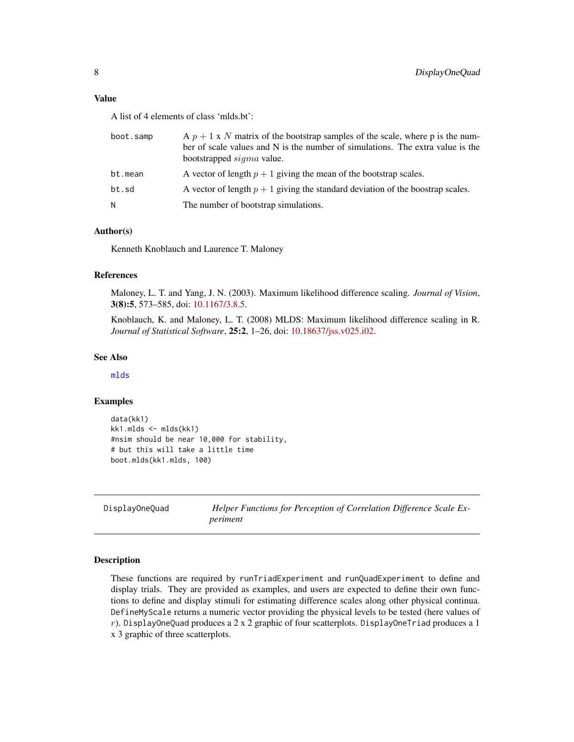# <span id="page-7-0"></span>Value

A list of 4 elements of class 'mlds.bt':

| boot.samp | A $p + 1$ x N matrix of the bootstrap samples of the scale, where p is the num-<br>ber of scale values and $N$ is the number of simulations. The extra value is the<br>bootstrapped <i>sigma</i> value. |
|-----------|---------------------------------------------------------------------------------------------------------------------------------------------------------------------------------------------------------|
| bt.mean   | A vector of length $p + 1$ giving the mean of the bootstrap scales.                                                                                                                                     |
| bt.sd     | A vector of length $p + 1$ giving the standard deviation of the boostrap scales.                                                                                                                        |
| Ν         | The number of bootstrap simulations.                                                                                                                                                                    |

# Author(s)

Kenneth Knoblauch and Laurence T. Maloney

#### References

Maloney, L. T. and Yang, J. N. (2003). Maximum likelihood difference scaling. *Journal of Vision*, 3(8):5, 573–585, doi: [10.1167/3.8.5.](https://doi.org/10.1167/3.8.5)

Knoblauch, K. and Maloney, L. T. (2008) MLDS: Maximum likelihood difference scaling in R. *Journal of Statistical Software*, 25:2, 1–26, doi: [10.18637/jss.v025.i02.](https://doi.org/10.18637/jss.v025.i02)

#### See Also

[mlds](#page-16-1)

# Examples

```
data(kk1)
kk1.mlds <- mlds(kk1)
#nsim should be near 10,000 for stability,
# but this will take a little time
boot.mlds(kk1.mlds, 100)
```

| DisplayOneQuad |
|----------------|
|----------------|

Helper Functions for Perception of Correlation Difference Scale Ex*periment*

#### Description

These functions are required by runTriadExperiment and runQuadExperiment to define and display trials. They are provided as examples, and users are expected to define their own functions to define and display stimuli for estimating difference scales along other physical continua. DefineMyScale returns a numeric vector providing the physical levels to be tested (here values of  $r$ ). DisplayOneQuad produces a 2 x 2 graphic of four scatterplots. DisplayOneTriad produces a 1 x 3 graphic of three scatterplots.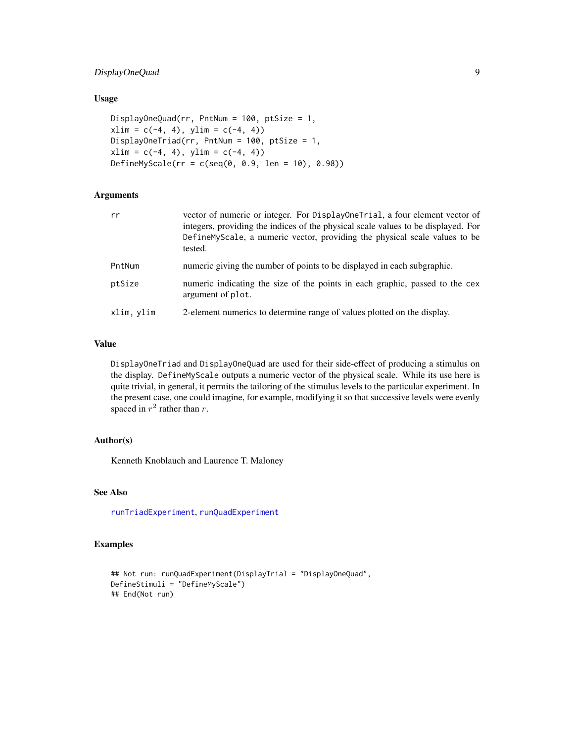# <span id="page-8-0"></span>DisplayOneQuad 9

# Usage

```
DisplayOneQuad(rr, PntNum = 100, ptSize = 1,
xlim = c(-4, 4), ylim = c(-4, 4)DisplayOneTriad(rr, PntNum = 100, ptSize = 1,
xlim = c(-4, 4), ylim = c(-4, 4))DefineMyScale(rr = c(seq(0, 0.9, len = 10), 0.98))
```
# Arguments

| rr         | vector of numeric or integer. For DisplayOneTrial, a four element vector of<br>integers, providing the indices of the physical scale values to be displayed. For<br>DefineMyScale, a numeric vector, providing the physical scale values to be<br>tested. |
|------------|-----------------------------------------------------------------------------------------------------------------------------------------------------------------------------------------------------------------------------------------------------------|
| PntNum     | numeric giving the number of points to be displayed in each subgraphic.                                                                                                                                                                                   |
| ptSize     | numeric indicating the size of the points in each graphic, passed to the cex<br>argument of plot.                                                                                                                                                         |
| xlim, vlim | 2-element numerics to determine range of values plotted on the display.                                                                                                                                                                                   |
|            |                                                                                                                                                                                                                                                           |

#### Value

DisplayOneTriad and DisplayOneQuad are used for their side-effect of producing a stimulus on the display. DefineMyScale outputs a numeric vector of the physical scale. While its use here is quite trivial, in general, it permits the tailoring of the stimulus levels to the particular experiment. In the present case, one could imagine, for example, modifying it so that successive levels were evenly spaced in  $r^2$  rather than r.

#### Author(s)

Kenneth Knoblauch and Laurence T. Maloney

# See Also

[runTriadExperiment](#page-25-1), [runQuadExperiment](#page-25-2)

```
## Not run: runQuadExperiment(DisplayTrial = "DisplayOneQuad",
DefineStimuli = "DefineMyScale")
## End(Not run)
```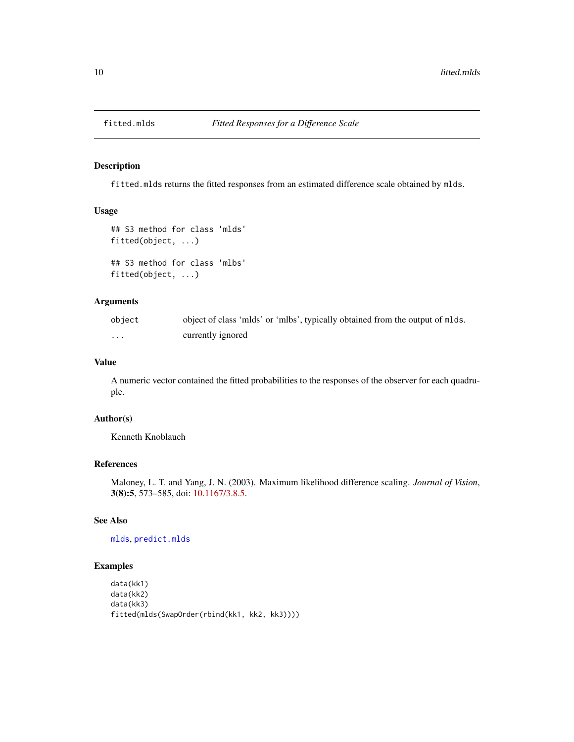<span id="page-9-0"></span>

fitted.mlds returns the fitted responses from an estimated difference scale obtained by mlds.

# Usage

```
## S3 method for class 'mlds'
fitted(object, ...)
## S3 method for class 'mlbs'
```
fitted(object, ...)

# Arguments

| object   | object of class 'mlds' or 'mlbs', typically obtained from the output of mlds. |
|----------|-------------------------------------------------------------------------------|
| $\cdots$ | currently ignored                                                             |

# Value

A numeric vector contained the fitted probabilities to the responses of the observer for each quadruple.

# Author(s)

Kenneth Knoblauch

# References

Maloney, L. T. and Yang, J. N. (2003). Maximum likelihood difference scaling. *Journal of Vision*, 3(8):5, 573–585, doi: [10.1167/3.8.5.](https://doi.org/10.1167/3.8.5)

# See Also

#### [mlds](#page-16-1), [predict.mlds](#page-22-1)

```
data(kk1)
data(kk2)
data(kk3)
fitted(mlds(SwapOrder(rbind(kk1, kk2, kk3))))
```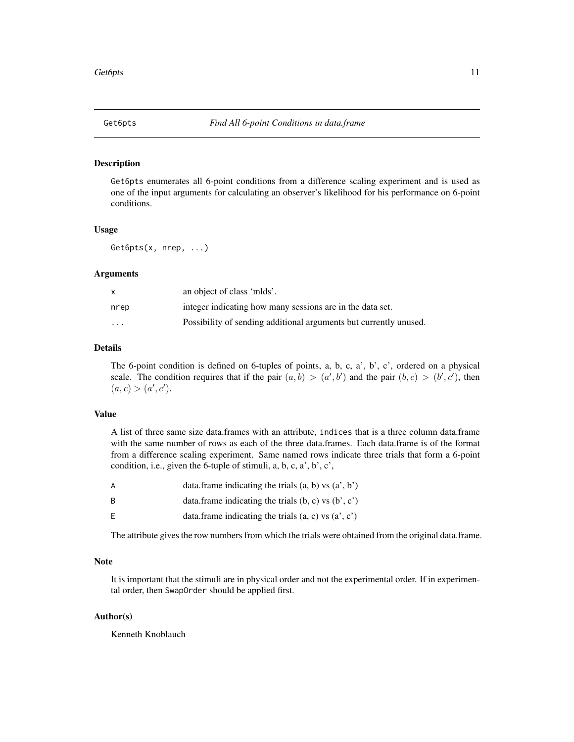<span id="page-10-1"></span><span id="page-10-0"></span>

Get6pts enumerates all 6-point conditions from a difference scaling experiment and is used as one of the input arguments for calculating an observer's likelihood for his performance on 6-point conditions.

#### Usage

Get6pts(x, nrep, ...)

#### Arguments

|          | an object of class 'mlds'.                                        |
|----------|-------------------------------------------------------------------|
| nrep     | integer indicating how many sessions are in the data set.         |
| $\cdots$ | Possibility of sending additional arguments but currently unused. |

#### Details

The 6-point condition is defined on 6-tuples of points, a, b, c, a', b', c', ordered on a physical scale. The condition requires that if the pair  $(a, b) > (a', b')$  and the pair  $(b, c) > (b', c')$ , then  $(a, c) > (a', c').$ 

# Value

A list of three same size data.frames with an attribute, indices that is a three column data.frame with the same number of rows as each of the three data.frames. Each data.frame is of the format from a difference scaling experiment. Same named rows indicate three trials that form a 6-point condition, i.e., given the 6-tuple of stimuli, a, b, c, a', b', c',

| A | data.frame indicating the trials $(a, b)$ vs $(a', b')$ |
|---|---------------------------------------------------------|
| B | data.frame indicating the trials $(b, c)$ vs $(b', c')$ |
| F | data.frame indicating the trials $(a, c)$ vs $(a', c')$ |

The attribute gives the row numbers from which the trials were obtained from the original data.frame.

# Note

It is important that the stimuli are in physical order and not the experimental order. If in experimental order, then SwapOrder should be applied first.

# Author(s)

Kenneth Knoblauch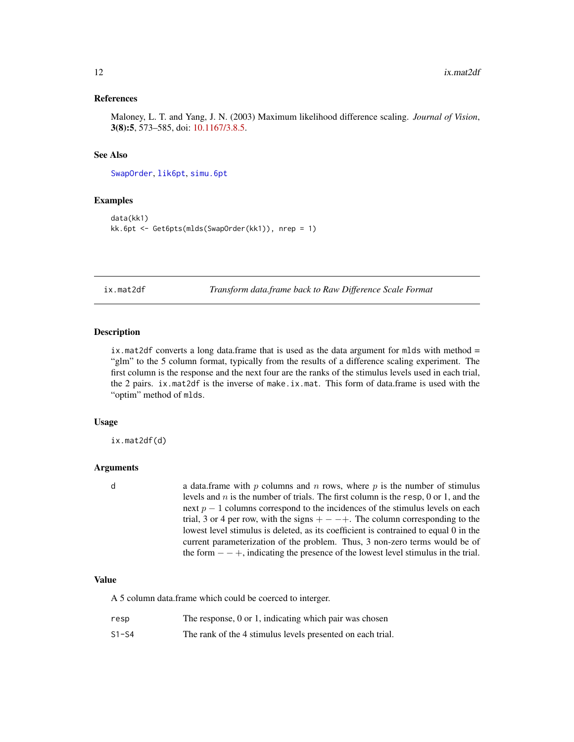#### <span id="page-11-0"></span>References

Maloney, L. T. and Yang, J. N. (2003) Maximum likelihood difference scaling. *Journal of Vision*, 3(8):5, 573–585, doi: [10.1167/3.8.5.](https://doi.org/10.1167/3.8.5)

#### See Also

[SwapOrder](#page-31-1), [lik6pt](#page-13-1), [simu.6pt](#page-27-1)

# Examples

```
data(kk1)
kk.6pt <- Get6pts(mlds(SwapOrder(kk1)), nrep = 1)
```
<span id="page-11-1"></span>ix.mat2df *Transform data.frame back to Raw Difference Scale Format*

#### Description

ix.mat2df converts a long data.frame that is used as the data argument for mlds with method = "glm" to the 5 column format, typically from the results of a difference scaling experiment. The first column is the response and the next four are the ranks of the stimulus levels used in each trial, the 2 pairs. ix.mat2df is the inverse of make.ix.mat. This form of data.frame is used with the "optim" method of mlds.

#### Usage

ix.mat2df(d)

#### Arguments

d a data.frame with p columns and n rows, where p is the number of stimulus levels and  $n$  is the number of trials. The first column is the resp, 0 or 1, and the next  $p - 1$  columns correspond to the incidences of the stimulus levels on each trial, 3 or 4 per row, with the signs  $+ - - +$ . The column corresponding to the lowest level stimulus is deleted, as its coefficient is contrained to equal 0 in the current parameterization of the problem. Thus, 3 non-zero terms would be of the form  $- - +$ , indicating the presence of the lowest level stimulus in the trial.

# Value

A 5 column data.frame which could be coerced to interger.

| resp                 | The response, 0 or 1, indicating which pair was chosen |  |  |  |  |  |  |
|----------------------|--------------------------------------------------------|--|--|--|--|--|--|
| $\sim$ $\sim$ $\sim$ |                                                        |  |  |  |  |  |  |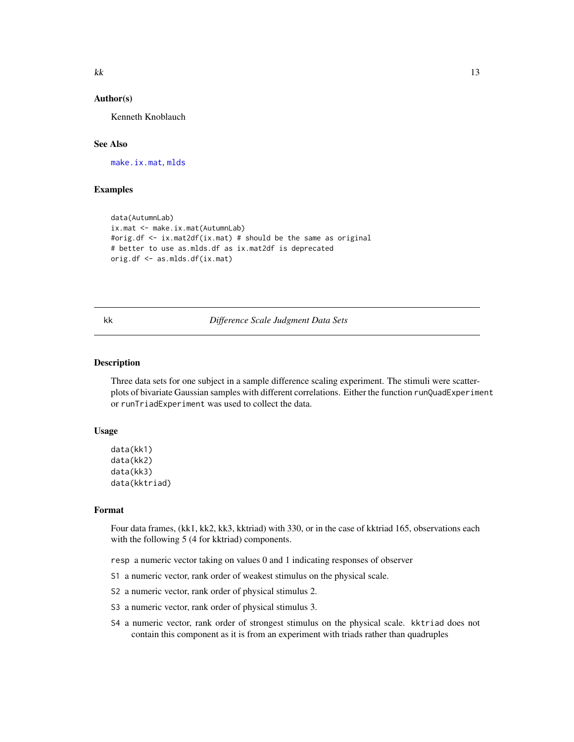#### <span id="page-12-0"></span>Author(s)

Kenneth Knoblauch

# See Also

[make.ix.mat](#page-15-1), [mlds](#page-16-1)

# Examples

```
data(AutumnLab)
ix.mat <- make.ix.mat(AutumnLab)
#orig.df <- ix.mat2df(ix.mat) # should be the same as original
# better to use as.mlds.df as ix.mat2df is deprecated
orig.df <- as.mlds.df(ix.mat)
```
#### <span id="page-12-1"></span>kk *Difference Scale Judgment Data Sets*

#### Description

Three data sets for one subject in a sample difference scaling experiment. The stimuli were scatterplots of bivariate Gaussian samples with different correlations. Either the function runQuadExperiment or runTriadExperiment was used to collect the data.

#### Usage

```
data(kk1)
data(kk2)
data(kk3)
data(kktriad)
```
## Format

Four data frames, (kk1, kk2, kk3, kktriad) with 330, or in the case of kktriad 165, observations each with the following 5 (4 for kktriad) components.

- resp a numeric vector taking on values 0 and 1 indicating responses of observer
- S1 a numeric vector, rank order of weakest stimulus on the physical scale.
- S2 a numeric vector, rank order of physical stimulus 2.
- S3 a numeric vector, rank order of physical stimulus 3.
- S4 a numeric vector, rank order of strongest stimulus on the physical scale. kktriad does not contain this component as it is from an experiment with triads rather than quadruples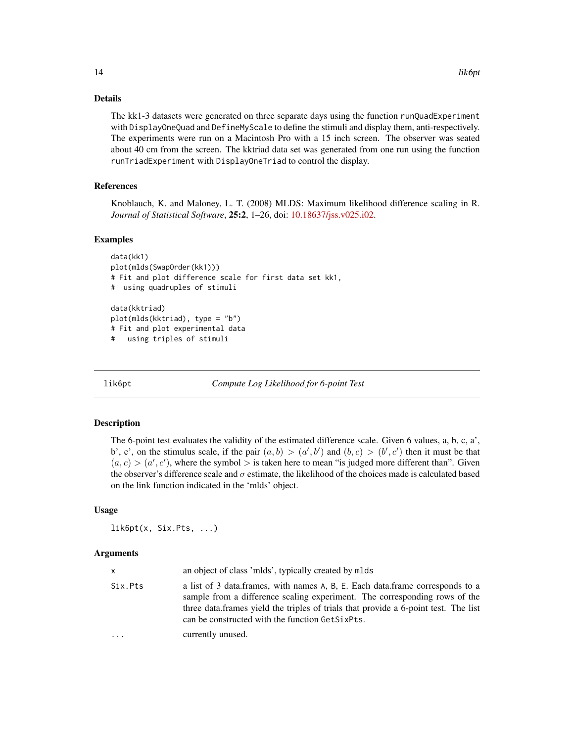#### <span id="page-13-0"></span>Details

The kk1-3 datasets were generated on three separate days using the function runQuadExperiment with DisplayOneQuad and DefineMyScale to define the stimuli and display them, anti-respectively. The experiments were run on a Macintosh Pro with a 15 inch screen. The observer was seated about 40 cm from the screen. The kktriad data set was generated from one run using the function runTriadExperiment with DisplayOneTriad to control the display.

# References

Knoblauch, K. and Maloney, L. T. (2008) MLDS: Maximum likelihood difference scaling in R. *Journal of Statistical Software*, 25:2, 1–26, doi: [10.18637/jss.v025.i02.](https://doi.org/10.18637/jss.v025.i02)

#### Examples

```
data(kk1)
plot(mlds(SwapOrder(kk1)))
# Fit and plot difference scale for first data set kk1,
# using quadruples of stimuli
data(kktriad)
plot(mlds(kktriad), type = "b")
# Fit and plot experimental data
# using triples of stimuli
```
<span id="page-13-1"></span>

lik6pt *Compute Log Likelihood for 6-point Test*

#### Description

The 6-point test evaluates the validity of the estimated difference scale. Given 6 values, a, b, c, a', b', c', on the stimulus scale, if the pair  $(a, b) > (a', b')$  and  $(b, c) > (b', c')$  then it must be that  $(a, c) > (a', c')$ , where the symbol > is taken here to mean "is judged more different than". Given the observer's difference scale and  $\sigma$  estimate, the likelihood of the choices made is calculated based on the link function indicated in the 'mlds' object.

#### Usage

lik6pt(x, Six.Pts, ...)

#### Arguments

| x       | an object of class 'mlds', typically created by mlds                                                                                                                                                                                                                                                  |
|---------|-------------------------------------------------------------------------------------------------------------------------------------------------------------------------------------------------------------------------------------------------------------------------------------------------------|
| Six.Pts | a list of 3 data.frames, with names A, B, E. Each data.frame corresponds to a<br>sample from a difference scaling experiment. The corresponding rows of the<br>three data frames yield the triples of trials that provide a 6-point test. The list<br>can be constructed with the function GetSixPts. |
| .       | currently unused.                                                                                                                                                                                                                                                                                     |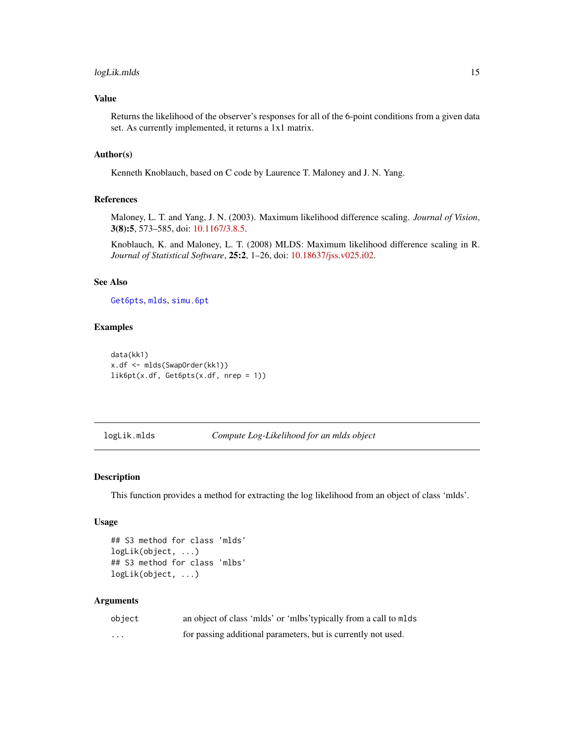# <span id="page-14-0"></span>logLik.mlds 15

# Value

Returns the likelihood of the observer's responses for all of the 6-point conditions from a given data set. As currently implemented, it returns a 1x1 matrix.

# Author(s)

Kenneth Knoblauch, based on C code by Laurence T. Maloney and J. N. Yang.

#### References

Maloney, L. T. and Yang, J. N. (2003). Maximum likelihood difference scaling. *Journal of Vision*, 3(8):5, 573–585, doi: [10.1167/3.8.5.](https://doi.org/10.1167/3.8.5)

Knoblauch, K. and Maloney, L. T. (2008) MLDS: Maximum likelihood difference scaling in R. *Journal of Statistical Software*, 25:2, 1–26, doi: [10.18637/jss.v025.i02.](https://doi.org/10.18637/jss.v025.i02)

#### See Also

[Get6pts](#page-10-1), [mlds](#page-16-1), [simu.6pt](#page-27-1)

#### Examples

```
data(kk1)
x.df <- mlds(SwapOrder(kk1))
lik6pt(x.df, Get6pts(x.df, nrep = 1))
```
logLik.mlds *Compute Log-Likelihood for an mlds object*

#### Description

This function provides a method for extracting the log likelihood from an object of class 'mlds'.

#### Usage

```
## S3 method for class 'mlds'
logLik(object, ...)
## S3 method for class 'mlbs'
logLik(object, ...)
```
#### Arguments

| object | an object of class 'mlds' or 'mlbs' typically from a call to mlds |
|--------|-------------------------------------------------------------------|
| .      | for passing additional parameters, but is currently not used.     |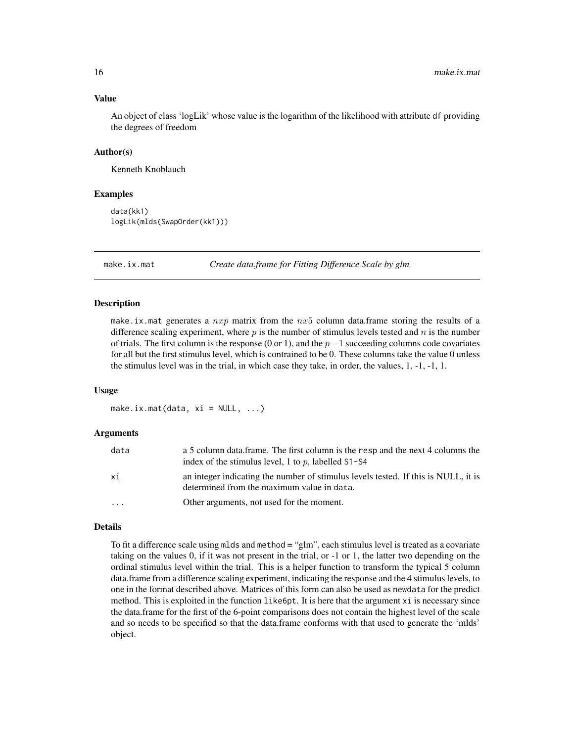#### Value

An object of class 'logLik' whose value is the logarithm of the likelihood with attribute df providing the degrees of freedom

#### Author(s)

Kenneth Knoblauch

#### Examples

```
data(kk1)
logLik(mlds(SwapOrder(kk1)))
```
<span id="page-15-1"></span>make.ix.mat *Create data.frame for Fitting Difference Scale by glm*

#### Description

make.ix.mat generates a  $nxp$  matrix from the  $nx5$  column data.frame storing the results of a difference scaling experiment, where  $p$  is the number of stimulus levels tested and  $n$  is the number of trials. The first column is the response (0 or 1), and the  $p-1$  succeeding columns code covariates for all but the first stimulus level, which is contrained to be 0. These columns take the value 0 unless the stimulus level was in the trial, in which case they take, in order, the values, 1, -1, -1, 1.

#### Usage

make.ix.mat(data,  $xi = NULL, ...$ )

#### Arguments

| data                    | a 5 column data.frame. The first column is the resp and the next 4 columns the<br>index of the stimulus level, 1 to p, labelled $S1-S4$ |
|-------------------------|-----------------------------------------------------------------------------------------------------------------------------------------|
| хi                      | an integer indicating the number of stimulus levels tested. If this is NULL, it is<br>determined from the maximum value in data.        |
| $\cdot$ $\cdot$ $\cdot$ | Other arguments, not used for the moment.                                                                                               |

#### Details

To fit a difference scale using mlds and method = "glm", each stimulus level is treated as a covariate taking on the values 0, if it was not present in the trial, or -1 or 1, the latter two depending on the ordinal stimulus level within the trial. This is a helper function to transform the typical 5 column data.frame from a difference scaling experiment, indicating the response and the 4 stimulus levels, to one in the format described above. Matrices of this form can also be used as newdata for the predict method. This is exploited in the function like6pt. It is here that the argument xi is necessary since the data.frame for the first of the 6-point comparisons does not contain the highest level of the scale and so needs to be specified so that the data.frame conforms with that used to generate the 'mlds' object.

<span id="page-15-0"></span>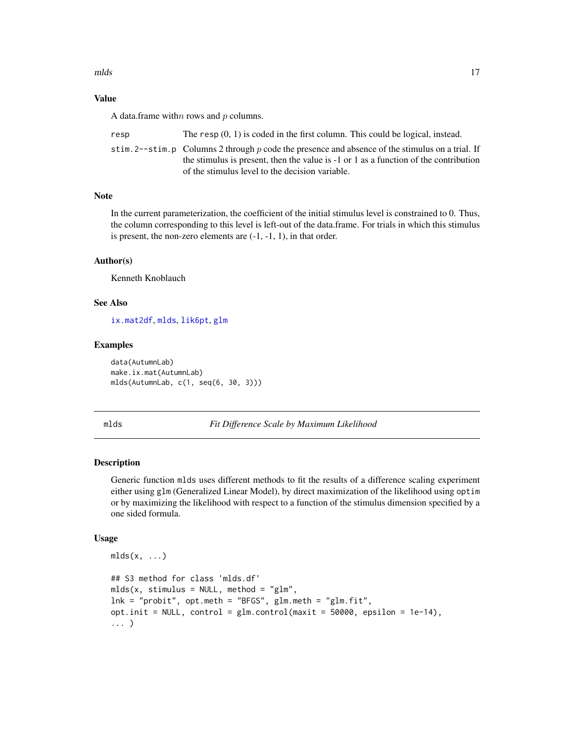<span id="page-16-0"></span>mlds the contract of the contract of the contract of the contract of the contract of the contract of the contract of the contract of the contract of the contract of the contract of the contract of the contract of the contr

# Value

A data.frame with  $n$  rows and  $p$  columns.

| resp | The resp $(0, 1)$ is coded in the first column. This could be logical, instead.                   |
|------|---------------------------------------------------------------------------------------------------|
|      | stim. 2--stim. p Columns 2 through p code the presence and absence of the stimulus on a trial. If |
|      | the stimulus is present, then the value is $-1$ or 1 as a function of the contribution            |
|      | of the stimulus level to the decision variable.                                                   |

# Note

In the current parameterization, the coefficient of the initial stimulus level is constrained to 0. Thus, the column corresponding to this level is left-out of the data.frame. For trials in which this stimulus is present, the non-zero elements are (-1, -1, 1), in that order.

# Author(s)

Kenneth Knoblauch

#### See Also

[ix.mat2df](#page-11-1), [mlds](#page-16-1), [lik6pt](#page-13-1), [glm](#page-0-0)

# Examples

data(AutumnLab) make.ix.mat(AutumnLab) mlds(AutumnLab, c(1, seq(6, 30, 3)))

<span id="page-16-1"></span>mlds *Fit Difference Scale by Maximum Likelihood*

# Description

Generic function mlds uses different methods to fit the results of a difference scaling experiment either using glm (Generalized Linear Model), by direct maximization of the likelihood using optim or by maximizing the likelihood with respect to a function of the stimulus dimension specified by a one sided formula.

#### Usage

```
mlds(x, \ldots)## S3 method for class 'mlds.df'
mlds(x, stimulus = NULL, method = "glm",lnk = "probit", opt.meth = "BFGS", glm.meth = "glm.fit",
opt.init = NULL, control = glm.control(maxit = 50000, epsilon = 1e-14),
... )
```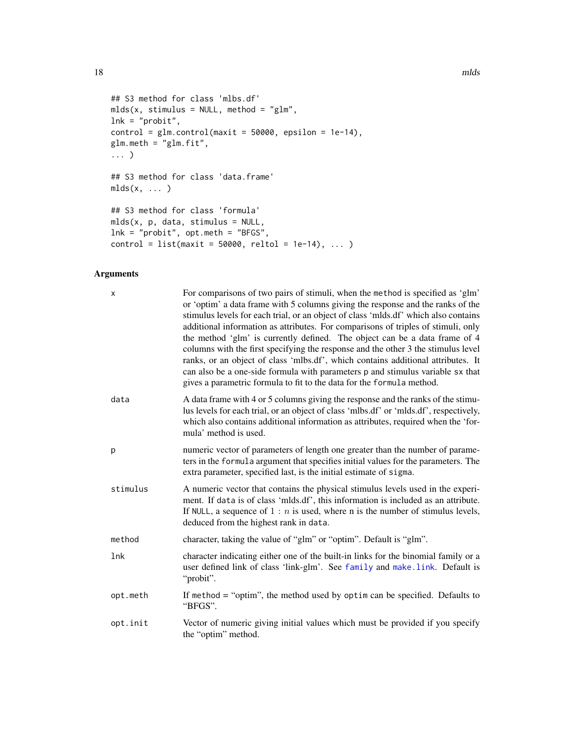```
## S3 method for class 'mlbs.df'
mlds(x, stimulus = NULL, method = "glm",lnk = "probit",control = glm.contrib(maxit = 50000, epsilon = 1e-14),glm.meth = "glm.fit",
... )
## S3 method for class 'data.frame'
mlds(x, \ldots)## S3 method for class 'formula'
mlds(x, p, data, stimulus = NULL,
lnk = "probit", opt.meth = "BFGS",
control = list(maxit = 50000, reltol = 1e-14), ... )
```
# Arguments

| X        | For comparisons of two pairs of stimuli, when the method is specified as 'glm'<br>or 'optim' a data frame with 5 columns giving the response and the ranks of the<br>stimulus levels for each trial, or an object of class 'mlds.df' which also contains<br>additional information as attributes. For comparisons of triples of stimuli, only<br>the method 'glm' is currently defined. The object can be a data frame of 4<br>columns with the first specifying the response and the other 3 the stimulus level<br>ranks, or an object of class 'mlbs.df', which contains additional attributes. It<br>can also be a one-side formula with parameters p and stimulus variable sx that<br>gives a parametric formula to fit to the data for the formula method. |
|----------|-----------------------------------------------------------------------------------------------------------------------------------------------------------------------------------------------------------------------------------------------------------------------------------------------------------------------------------------------------------------------------------------------------------------------------------------------------------------------------------------------------------------------------------------------------------------------------------------------------------------------------------------------------------------------------------------------------------------------------------------------------------------|
| data     | A data frame with 4 or 5 columns giving the response and the ranks of the stimu-<br>lus levels for each trial, or an object of class 'mlbs.df' or 'mlds.df', respectively,<br>which also contains additional information as attributes, required when the 'for-<br>mula' method is used.                                                                                                                                                                                                                                                                                                                                                                                                                                                                        |
| p        | numeric vector of parameters of length one greater than the number of parame-<br>ters in the formula argument that specifies initial values for the parameters. The<br>extra parameter, specified last, is the initial estimate of sigma.                                                                                                                                                                                                                                                                                                                                                                                                                                                                                                                       |
| stimulus | A numeric vector that contains the physical stimulus levels used in the experi-<br>ment. If data is of class 'mlds.df', this information is included as an attribute.<br>If NULL, a sequence of $1 : n$ is used, where n is the number of stimulus levels,<br>deduced from the highest rank in data.                                                                                                                                                                                                                                                                                                                                                                                                                                                            |
| method   | character, taking the value of "glm" or "optim". Default is "glm".                                                                                                                                                                                                                                                                                                                                                                                                                                                                                                                                                                                                                                                                                              |
| 1nk      | character indicating either one of the built-in links for the binomial family or a<br>user defined link of class 'link-glm'. See family and make.link. Default is<br>"probit".                                                                                                                                                                                                                                                                                                                                                                                                                                                                                                                                                                                  |
| opt.meth | If method = "optim", the method used by optim can be specified. Defaults to<br>"BFGS".                                                                                                                                                                                                                                                                                                                                                                                                                                                                                                                                                                                                                                                                          |
| opt.init | Vector of numeric giving initial values which must be provided if you specify<br>the "optim" method.                                                                                                                                                                                                                                                                                                                                                                                                                                                                                                                                                                                                                                                            |

<span id="page-17-0"></span>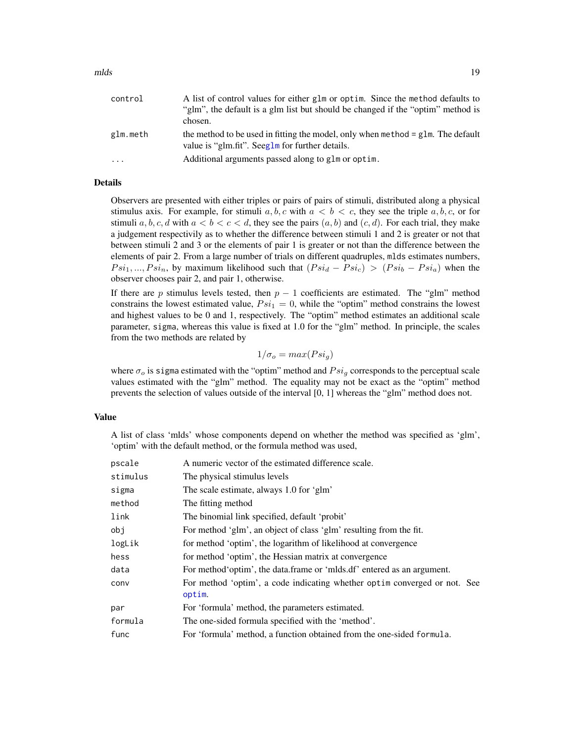<span id="page-18-0"></span>

| control  | A list of control values for either glm or optim. Since the method defaults to<br>"glm", the default is a glm list but should be changed if the "optim" method is<br>chosen. |
|----------|------------------------------------------------------------------------------------------------------------------------------------------------------------------------------|
| glm.meth | the method to be used in fitting the model, only when method $=$ glm. The default<br>value is "glm.fit". Seeglm for further details.                                         |
| $\cdot$  | Additional arguments passed along to glm or optim.                                                                                                                           |

# Details

Observers are presented with either triples or pairs of pairs of stimuli, distributed along a physical stimulus axis. For example, for stimuli a, b, c with  $a < b < c$ , they see the triple a, b, c, or for stimuli a, b, c, d with  $a < b < c < d$ , they see the pairs  $(a, b)$  and  $(c, d)$ . For each trial, they make a judgement respectivily as to whether the difference between stimuli 1 and 2 is greater or not that between stimuli 2 and 3 or the elements of pair 1 is greater or not than the difference between the elements of pair 2. From a large number of trials on different quadruples, mlds estimates numbers,  $Psi_1, ..., Psi_n$ , by maximum likelihood such that  $(Psi_d - Psi_c) > (Psi_b - Psi_a)$  when the observer chooses pair 2, and pair 1, otherwise.

If there are p stimulus levels tested, then  $p - 1$  coefficients are estimated. The "glm" method constrains the lowest estimated value,  $Psi_i = 0$ , while the "optim" method constrains the lowest and highest values to be 0 and 1, respectively. The "optim" method estimates an additional scale parameter, sigma, whereas this value is fixed at 1.0 for the "glm" method. In principle, the scales from the two methods are related by

$$
1/\sigma_o = max(Psi_g)
$$

where  $\sigma_o$  is sigma estimated with the "optim" method and  $Psi_q$  corresponds to the perceptual scale values estimated with the "glm" method. The equality may not be exact as the "optim" method prevents the selection of values outside of the interval [0, 1] whereas the "glm" method does not.

#### Value

A list of class 'mlds' whose components depend on whether the method was specified as 'glm', 'optim' with the default method, or the formula method was used,

| pscale   | A numeric vector of the estimated difference scale.                                  |
|----------|--------------------------------------------------------------------------------------|
| stimulus | The physical stimulus levels                                                         |
| sigma    | The scale estimate, always 1.0 for 'glm'                                             |
| method   | The fitting method                                                                   |
| link     | The binomial link specified, default 'probit'                                        |
| obj      | For method 'glm', an object of class 'glm' resulting from the fit.                   |
| logLik   | for method 'optim', the logarithm of likelihood at convergence                       |
| hess     | for method 'optim', the Hessian matrix at convergence                                |
| data     | For method 'optim', the data frame or 'milds df' entered as an argument.             |
| conv     | For method 'optim', a code indicating whether optime converged or not. See<br>optim. |
| par      | For 'formula' method, the parameters estimated.                                      |
| formula  | The one-sided formula specified with the 'method'.                                   |
| func     | For 'formula' method, a function obtained from the one-sided formula.                |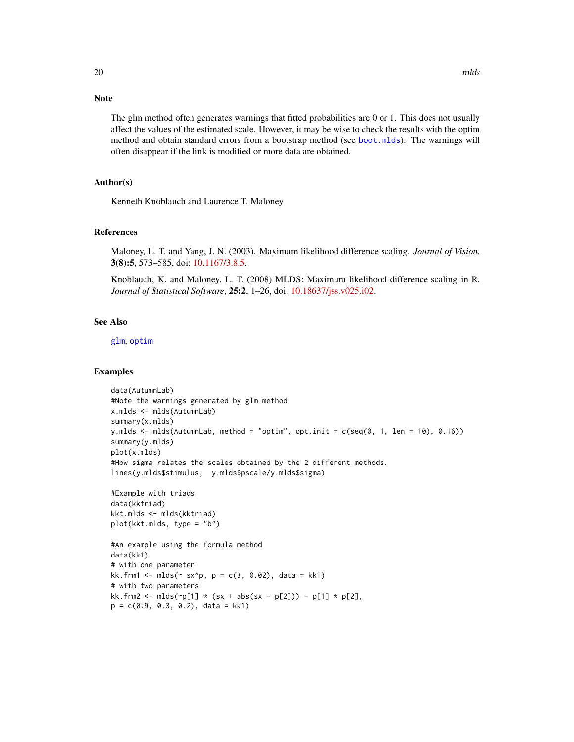# <span id="page-19-0"></span>Note

The glm method often generates warnings that fitted probabilities are 0 or 1. This does not usually affect the values of the estimated scale. However, it may be wise to check the results with the optim method and obtain standard errors from a bootstrap method (see [boot.mlds](#page-6-1)). The warnings will often disappear if the link is modified or more data are obtained.

# Author(s)

Kenneth Knoblauch and Laurence T. Maloney

# References

Maloney, L. T. and Yang, J. N. (2003). Maximum likelihood difference scaling. *Journal of Vision*, 3(8):5, 573–585, doi: [10.1167/3.8.5.](https://doi.org/10.1167/3.8.5)

Knoblauch, K. and Maloney, L. T. (2008) MLDS: Maximum likelihood difference scaling in R. *Journal of Statistical Software*, 25:2, 1–26, doi: [10.18637/jss.v025.i02.](https://doi.org/10.18637/jss.v025.i02)

# See Also

[glm](#page-0-0), [optim](#page-0-0)

```
data(AutumnLab)
#Note the warnings generated by glm method
x.mlds <- mlds(AutumnLab)
summary(x.mlds)
y.mlds \leq mlds(AutumnLab, method = "optim", opt.init = c(seq(0, 1, len = 10), 0.16))
summary(y.mlds)
plot(x.mlds)
#How sigma relates the scales obtained by the 2 different methods.
lines(y.mlds$stimulus, y.mlds$pscale/y.mlds$sigma)
#Example with triads
data(kktriad)
kkt.mlds <- mlds(kktriad)
plot(kkt.mlds, type = "b")
#An example using the formula method
data(kk1)
# with one parameter
kk.frm1 < - mlds(~ x^*p, p = c(3, 0.02), data = kk1)# with two parameters
kk. frm2 <- mlds(\neg p[1] \times (sx + abs(sx - p[2])) - p[1] \times p[2],p = c(0.9, 0.3, 0.2), data = kk1)
```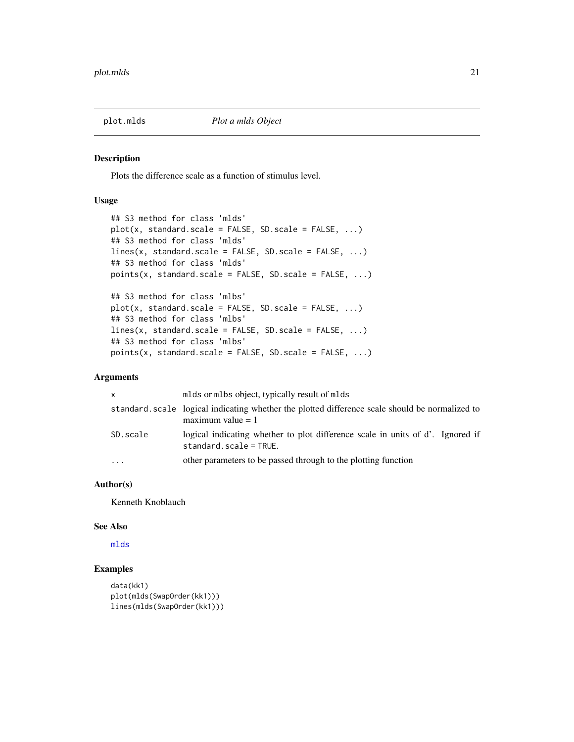<span id="page-20-0"></span>

Plots the difference scale as a function of stimulus level.

# Usage

```
## S3 method for class 'mlds'
plot(x, standard-scale = FALSE, SD-scale = FALSE, ...)## S3 method for class 'mlds'
lines(x, standard.scale = FALSE, SD.scale = FALSE, ...)
## S3 method for class 'mlds'
points(x, standard.scale = FALSE, SD.scale = FALSE, ...)
## S3 method for class 'mlbs'
plot(x, standard.scale = FALSE, SD.scale = FALSE, ...)## S3 method for class 'mlbs'
lines(x, standard.scale = FALSE, SD.scale = FALSE, ...)
## S3 method for class 'mlbs'
points(x, standard-scale = FALSE, SD-scale = FALSE, ...)
```
#### Arguments

| <b>X</b> | mlds or mlbs object, typically result of mlds                                                                          |
|----------|------------------------------------------------------------------------------------------------------------------------|
|          | standard, scale logical indicating whether the plotted difference scale should be normalized to<br>maximum value $= 1$ |
| SD.scale | logical indicating whether to plot difference scale in units of d'. Ignored if<br>$standard.scale = TRUE.$             |
| $\cdots$ | other parameters to be passed through to the plotting function                                                         |

# Author(s)

Kenneth Knoblauch

#### See Also

[mlds](#page-16-1)

```
data(kk1)
plot(mlds(SwapOrder(kk1)))
lines(mlds(SwapOrder(kk1)))
```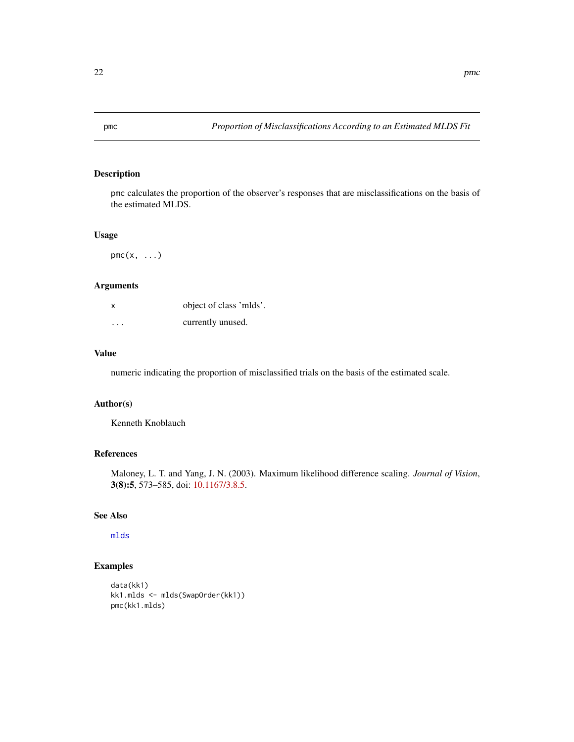<span id="page-21-0"></span>

pmc calculates the proportion of the observer's responses that are misclassifications on the basis of the estimated MLDS.

#### Usage

 $pmc(x, \ldots)$ 

# Arguments

| x       | object of class 'mlds'. |
|---------|-------------------------|
| $\cdot$ | currently unused.       |

# Value

numeric indicating the proportion of misclassified trials on the basis of the estimated scale.

# Author(s)

Kenneth Knoblauch

# References

Maloney, L. T. and Yang, J. N. (2003). Maximum likelihood difference scaling. *Journal of Vision*, 3(8):5, 573–585, doi: [10.1167/3.8.5.](https://doi.org/10.1167/3.8.5)

# See Also

[mlds](#page-16-1)

```
data(kk1)
kk1.mlds <- mlds(SwapOrder(kk1))
pmc(kk1.mlds)
```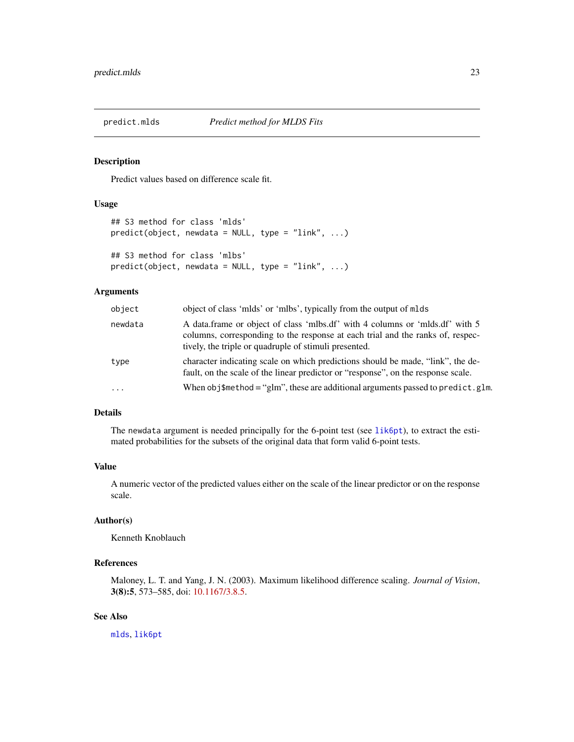<span id="page-22-1"></span><span id="page-22-0"></span>

Predict values based on difference scale fit.

#### Usage

```
## S3 method for class 'mlds'
predict(object, newdata = NULL, type = "link", ...)
## S3 method for class 'mlbs'
predict(object, new data = NULL, type = "link", ...)
```
#### Arguments

| object  | object of class 'mlds' or 'mlbs', typically from the output of mlds                                                                                                                                                     |
|---------|-------------------------------------------------------------------------------------------------------------------------------------------------------------------------------------------------------------------------|
| newdata | A data frame or object of class 'mlbs.df' with 4 columns or 'mlds.df' with 5<br>columns, corresponding to the response at each trial and the ranks of, respec-<br>tively, the triple or quadruple of stimuli presented. |
| type    | character indicating scale on which predictions should be made, "link", the de-<br>fault, on the scale of the linear predictor or "response", on the response scale.                                                    |
| $\cdot$ | When obj\$method = "glm", these are additional arguments passed to predict.glm.                                                                                                                                         |

# Details

The newdata argument is needed principally for the 6-point test (see [lik6pt](#page-13-1)), to extract the estimated probabilities for the subsets of the original data that form valid 6-point tests.

# Value

A numeric vector of the predicted values either on the scale of the linear predictor or on the response scale.

# Author(s)

Kenneth Knoblauch

# References

Maloney, L. T. and Yang, J. N. (2003). Maximum likelihood difference scaling. *Journal of Vision*, 3(8):5, 573–585, doi: [10.1167/3.8.5.](https://doi.org/10.1167/3.8.5)

# See Also

[mlds](#page-16-1), [lik6pt](#page-13-1)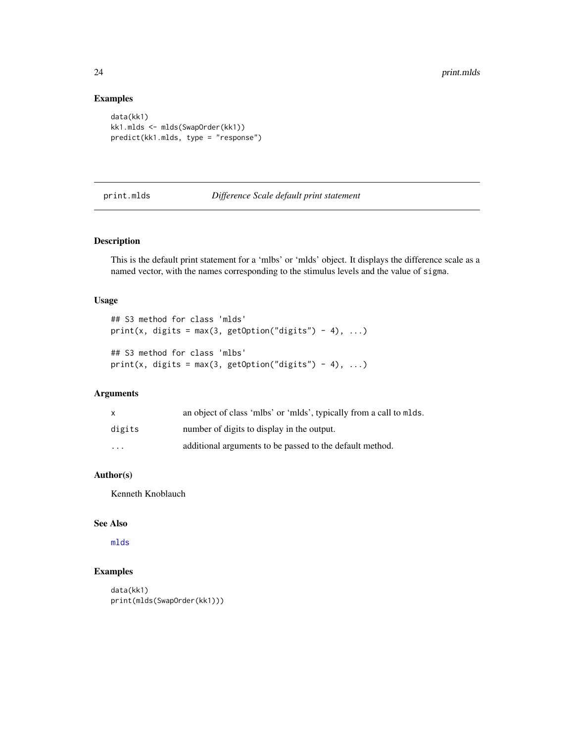# Examples

```
data(kk1)
kk1.mlds <- mlds(SwapOrder(kk1))
predict(kk1.mlds, type = "response")
```
# print.mlds *Difference Scale default print statement*

# Description

This is the default print statement for a 'mlbs' or 'mlds' object. It displays the difference scale as a named vector, with the names corresponding to the stimulus levels and the value of sigma.

#### Usage

```
## S3 method for class 'mlds'
print(x, digits = max(3, getOption("digits") - 4), ...)## S3 method for class 'mlbs'
print(x, digits = max(3, getOption("digits") - 4), ...)
```
# Arguments

| $\mathsf{x}$            | an object of class 'mlbs' or 'mlds', typically from a call to mlds. |
|-------------------------|---------------------------------------------------------------------|
| digits                  | number of digits to display in the output.                          |
| $\cdot$ $\cdot$ $\cdot$ | additional arguments to be passed to the default method.            |

# Author(s)

Kenneth Knoblauch

# See Also

[mlds](#page-16-1)

```
data(kk1)
print(mlds(SwapOrder(kk1)))
```
<span id="page-23-0"></span>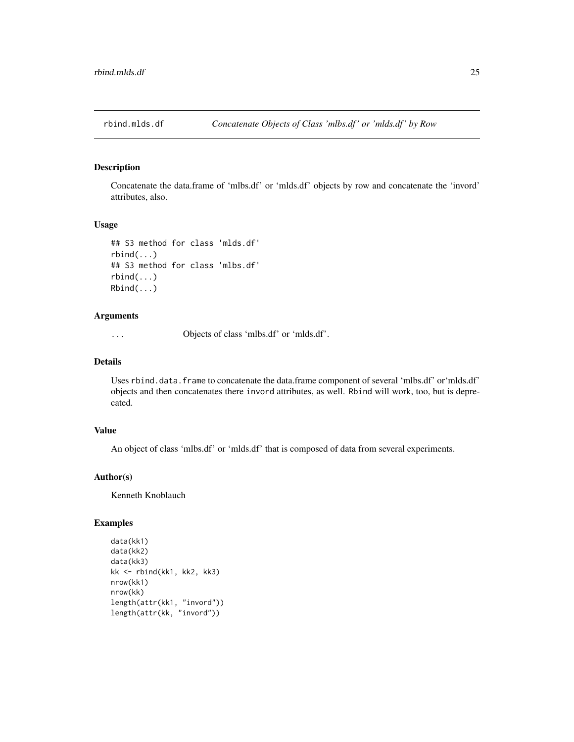<span id="page-24-0"></span>

Concatenate the data.frame of 'mlbs.df' or 'mlds.df' objects by row and concatenate the 'invord' attributes, also.

#### Usage

```
## S3 method for class 'mlds.df'
rbind(...)
## S3 method for class 'mlbs.df'
rbind(...)
Rbind(...)
```
#### Arguments

... Objects of class 'mlbs.df' or 'mlds.df'.

# Details

Uses rbind.data.frame to concatenate the data.frame component of several 'mlbs.df' or'mlds.df' objects and then concatenates there invord attributes, as well. Rbind will work, too, but is deprecated.

#### Value

An object of class 'mlbs.df' or 'mlds.df' that is composed of data from several experiments.

#### Author(s)

Kenneth Knoblauch

```
data(kk1)
data(kk2)
data(kk3)
kk <- rbind(kk1, kk2, kk3)
nrow(kk1)
nrow(kk)
length(attr(kk1, "invord"))
length(attr(kk, "invord"))
```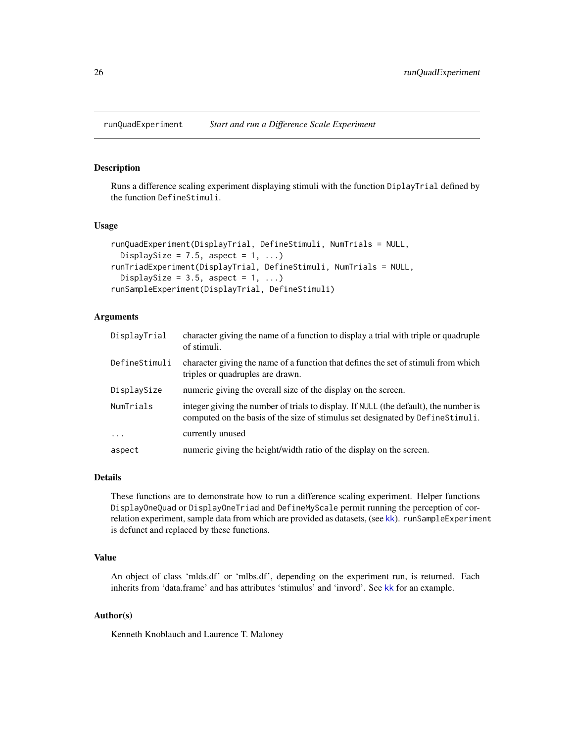<span id="page-25-2"></span><span id="page-25-0"></span>runQuadExperiment *Start and run a Difference Scale Experiment*

#### <span id="page-25-1"></span>Description

Runs a difference scaling experiment displaying stimuli with the function DiplayTrial defined by the function DefineStimuli.

#### Usage

```
runQuadExperiment(DisplayTrial, DefineStimuli, NumTrials = NULL,
 DisplaySize = 7.5, aspect = 1, ...)
runTriadExperiment(DisplayTrial, DefineStimuli, NumTrials = NULL,
 DisplaySize = 3.5, aspect = 1, ...)
runSampleExperiment(DisplayTrial, DefineStimuli)
```
# **Arguments**

| DisplayTrial  | character giving the name of a function to display a trial with triple or quadruple<br>of stimuli.                                                                     |
|---------------|------------------------------------------------------------------------------------------------------------------------------------------------------------------------|
| DefineStimuli | character giving the name of a function that defines the set of stimuli from which<br>triples or quadruples are drawn.                                                 |
| DisplaySize   | numeric giving the overall size of the display on the screen.                                                                                                          |
| NumTrials     | integer giving the number of trials to display. If NULL (the default), the number is<br>computed on the basis of the size of stimulus set designated by DefineStimuli. |
| $\ddots$ .    | currently unused                                                                                                                                                       |
| aspect        | numeric giving the height/width ratio of the display on the screen.                                                                                                    |

# Details

These functions are to demonstrate how to run a difference scaling experiment. Helper functions DisplayOneQuad or DisplayOneTriad and DefineMyScale permit running the perception of correlation experiment, sample data from which are provided as datasets, (see [kk](#page-12-1)). runSampleExperiment is defunct and replaced by these functions.

# Value

An object of class 'mlds.df' or 'mlbs.df', depending on the experiment run, is returned. Each inherits from 'data.frame' and has attributes 'stimulus' and 'invord'. See [kk](#page-12-1) for an example.

#### Author(s)

Kenneth Knoblauch and Laurence T. Maloney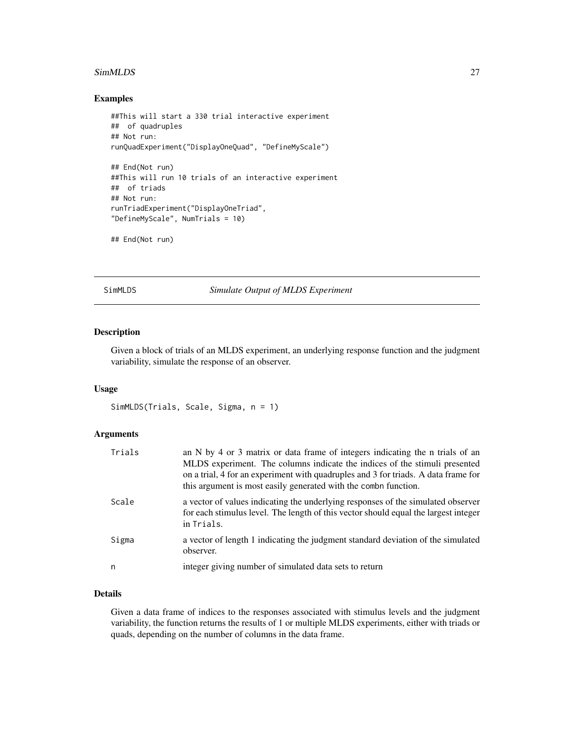#### <span id="page-26-0"></span>SimMLDS 27

#### Examples

```
##This will start a 330 trial interactive experiment
## of quadruples
## Not run:
runQuadExperiment("DisplayOneQuad", "DefineMyScale")
## End(Not run)
##This will run 10 trials of an interactive experiment
## of triads
## Not run:
runTriadExperiment("DisplayOneTriad",
"DefineMyScale", NumTrials = 10)
## End(Not run)
```
SimMLDS *Simulate Output of MLDS Experiment*

# Description

Given a block of trials of an MLDS experiment, an underlying response function and the judgment variability, simulate the response of an observer.

#### Usage

```
SimMLDS(Trials, Scale, Sigma, n = 1)
```
# Arguments

| Trials | an N by 4 or 3 matrix or data frame of integers indicating the n trials of an<br>MLDS experiment. The columns indicate the indices of the stimuli presented<br>on a trial, 4 for an experiment with quadruples and 3 for triads. A data frame for<br>this argument is most easily generated with the combin function. |
|--------|-----------------------------------------------------------------------------------------------------------------------------------------------------------------------------------------------------------------------------------------------------------------------------------------------------------------------|
| Scale  | a vector of values indicating the underlying responses of the simulated observer<br>for each stimulus level. The length of this vector should equal the largest integer<br>in Trials.                                                                                                                                 |
| Sigma  | a vector of length 1 indicating the judgment standard deviation of the simulated<br>observer.                                                                                                                                                                                                                         |
| n      | integer giving number of simulated data sets to return                                                                                                                                                                                                                                                                |

# Details

Given a data frame of indices to the responses associated with stimulus levels and the judgment variability, the function returns the results of 1 or multiple MLDS experiments, either with triads or quads, depending on the number of columns in the data frame.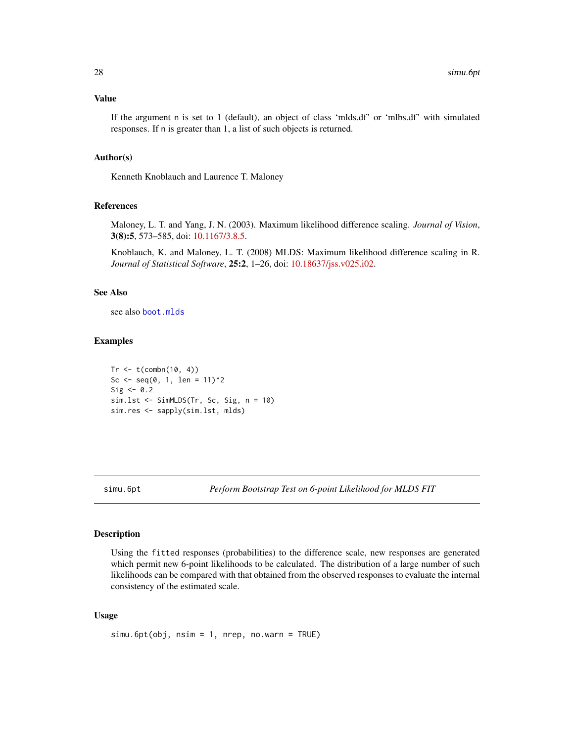#### <span id="page-27-0"></span>Value

If the argument n is set to 1 (default), an object of class 'mlds.df' or 'mlbs.df' with simulated responses. If n is greater than 1, a list of such objects is returned.

#### Author(s)

Kenneth Knoblauch and Laurence T. Maloney

# References

Maloney, L. T. and Yang, J. N. (2003). Maximum likelihood difference scaling. *Journal of Vision*, 3(8):5, 573–585, doi: [10.1167/3.8.5.](https://doi.org/10.1167/3.8.5)

Knoblauch, K. and Maloney, L. T. (2008) MLDS: Maximum likelihood difference scaling in R. *Journal of Statistical Software*, 25:2, 1–26, doi: [10.18637/jss.v025.i02.](https://doi.org/10.18637/jss.v025.i02)

# See Also

see also [boot.mlds](#page-6-1)

#### Examples

```
Tr \leq t(combn(10, 4))
Sc <- seq(0, 1, len = 11)^2Sig \leftarrow \emptyset.2sim.lst <- SimMLDS(Tr, Sc, Sig, n = 10)
sim.res <- sapply(sim.lst, mlds)
```
<span id="page-27-1"></span>

simu.6pt *Perform Bootstrap Test on 6-point Likelihood for MLDS FIT*

#### Description

Using the fitted responses (probabilities) to the difference scale, new responses are generated which permit new 6-point likelihoods to be calculated. The distribution of a large number of such likelihoods can be compared with that obtained from the observed responses to evaluate the internal consistency of the estimated scale.

#### Usage

```
sim.6pt(obj, nsim = 1, nrep, no.warn = TRUE)
```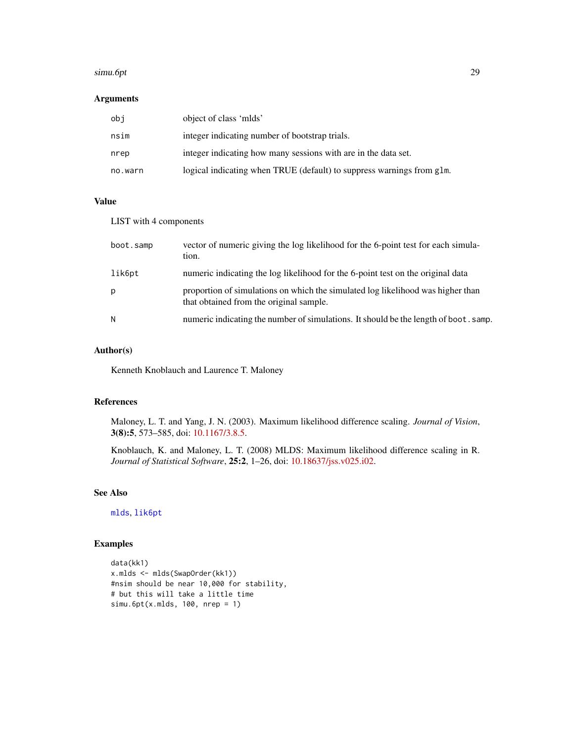#### <span id="page-28-0"></span>simu.6pt 29

# Arguments

| obi     | object of class 'mlds'                                                |
|---------|-----------------------------------------------------------------------|
| nsim    | integer indicating number of bootstrap trials.                        |
| nrep    | integer indicating how many sessions with are in the data set.        |
| no.warn | logical indicating when TRUE (default) to suppress warnings from glm. |

# Value

# LIST with 4 components

| boot.samp | vector of numeric giving the log likelihood for the 6-point test for each simula-<br>tion.                                 |
|-----------|----------------------------------------------------------------------------------------------------------------------------|
| lik6pt    | numeric indicating the log likelihood for the 6-point test on the original data                                            |
| p         | proportion of simulations on which the simulated log likelihood was higher than<br>that obtained from the original sample. |
| N         | numeric indicating the number of simulations. It should be the length of boot. samp.                                       |

# Author(s)

Kenneth Knoblauch and Laurence T. Maloney

# References

Maloney, L. T. and Yang, J. N. (2003). Maximum likelihood difference scaling. *Journal of Vision*, 3(8):5, 573–585, doi: [10.1167/3.8.5.](https://doi.org/10.1167/3.8.5)

Knoblauch, K. and Maloney, L. T. (2008) MLDS: Maximum likelihood difference scaling in R. *Journal of Statistical Software*, 25:2, 1–26, doi: [10.18637/jss.v025.i02.](https://doi.org/10.18637/jss.v025.i02)

# See Also

[mlds](#page-16-1), [lik6pt](#page-13-1)

```
data(kk1)
x.mlds <- mlds(SwapOrder(kk1))
#nsim should be near 10,000 for stability,
# but this will take a little time
simu.6pt(x.mlds, 100, nrep = 1)
```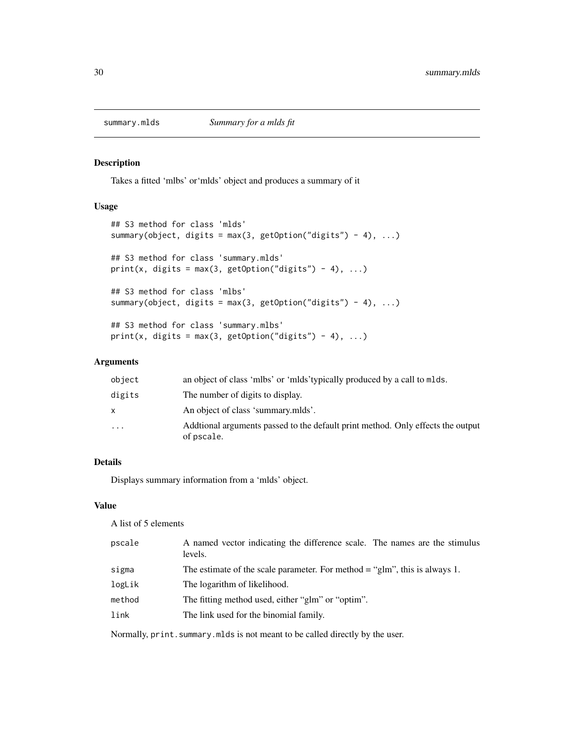<span id="page-29-0"></span>

Takes a fitted 'mlbs' or'mlds' object and produces a summary of it

# Usage

```
## S3 method for class 'mlds'
summary(object, digits = max(3, getOption("digits") - 4), ...)
## S3 method for class 'summary.mlds'
print(x, digits = max(3, getOption("digits") - 4), ...)## S3 method for class 'mlbs'
summary(object, digits = max(3, getOption("digits") - 4), ...)
## S3 method for class 'summary.mlbs'
print(x, digits = max(3, getOption("digits") - 4), ...)
```
# Arguments

| object   | an object of class 'mlbs' or 'mlds' typically produced by a call to mlds.                      |
|----------|------------------------------------------------------------------------------------------------|
| digits   | The number of digits to display.                                                               |
| X        | An object of class 'summary.mlds'.                                                             |
| $\cdots$ | Additional arguments passed to the default print method. Only effects the output<br>of pscale. |
|          |                                                                                                |

# Details

Displays summary information from a 'mlds' object.

# Value

A list of 5 elements

| pscale | A named vector indicating the difference scale. The names are the stimulus<br>levels. |
|--------|---------------------------------------------------------------------------------------|
| sigma  | The estimate of the scale parameter. For method $=$ "glm", this is always 1.          |
| logLik | The logarithm of likelihood.                                                          |
| method | The fitting method used, either "glm" or "optim".                                     |
| link   | The link used for the binomial family.                                                |
|        |                                                                                       |

Normally, print.summary.mlds is not meant to be called directly by the user.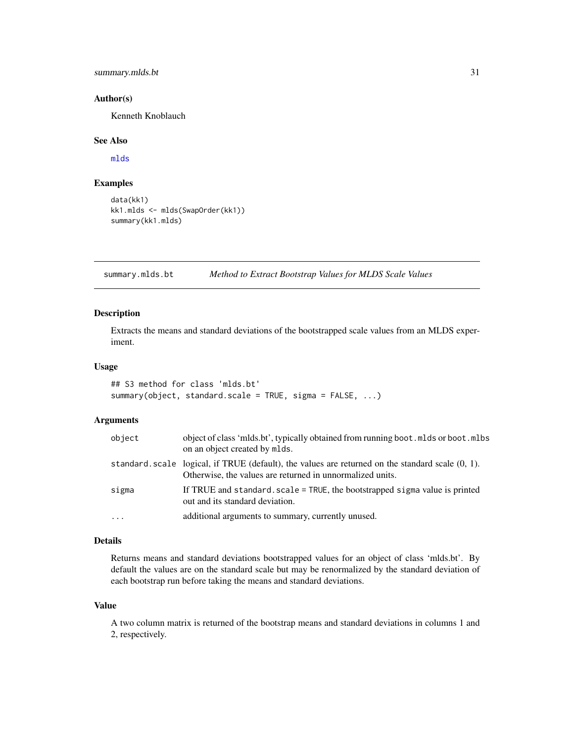# <span id="page-30-0"></span>summary.mlds.bt 31

#### Author(s)

Kenneth Knoblauch

#### See Also

[mlds](#page-16-1)

# Examples

```
data(kk1)
kk1.mlds <- mlds(SwapOrder(kk1))
summary(kk1.mlds)
```
summary.mlds.bt *Method to Extract Bootstrap Values for MLDS Scale Values*

# Description

Extracts the means and standard deviations of the bootstrapped scale values from an MLDS experiment.

# Usage

```
## S3 method for class 'mlds.bt'
summary(object, standard.scale = TRUE, sigma = FALSE, ...)
```
#### Arguments

| object   | object of class 'mlds.bt', typically obtained from running boot.mlds or boot.mlbs<br>on an object created by mlds.                                               |
|----------|------------------------------------------------------------------------------------------------------------------------------------------------------------------|
|          | standard scale logical, if TRUE (default), the values are returned on the standard scale $(0, 1)$ .<br>Otherwise, the values are returned in unnormalized units. |
| sigma    | If TRUE and standard, scale = TRUE, the bootstrapped sigma value is printed<br>out and its standard deviation.                                                   |
| $\ddots$ | additional arguments to summary, currently unused.                                                                                                               |

# Details

Returns means and standard deviations bootstrapped values for an object of class 'mlds.bt'. By default the values are on the standard scale but may be renormalized by the standard deviation of each bootstrap run before taking the means and standard deviations.

#### Value

A two column matrix is returned of the bootstrap means and standard deviations in columns 1 and 2, respectively.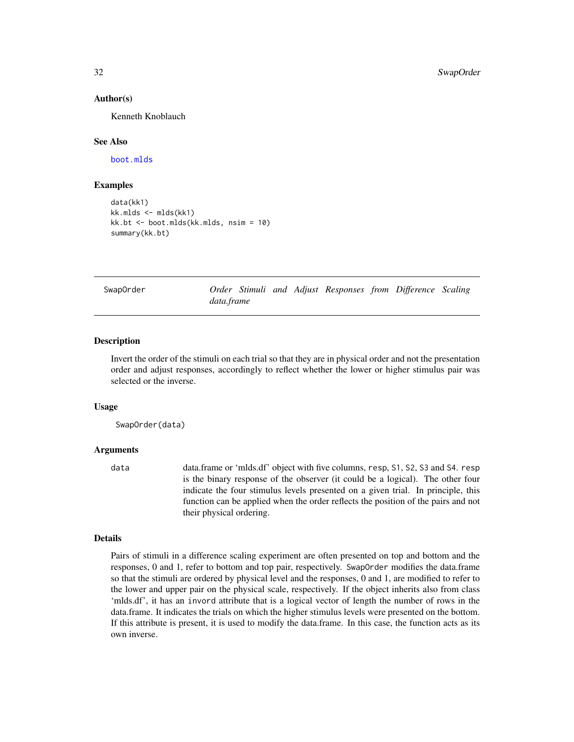#### Author(s)

Kenneth Knoblauch

#### See Also

[boot.mlds](#page-6-1)

# Examples

```
data(kk1)
kk.mlds <- mlds(kk1)
kk.bt <- boot.mlds(kk.mlds, nsim = 10)
summary(kk.bt)
```
<span id="page-31-1"></span>SwapOrder *Order Stimuli and Adjust Responses from Difference Scaling data.frame*

#### Description

Invert the order of the stimuli on each trial so that they are in physical order and not the presentation order and adjust responses, accordingly to reflect whether the lower or higher stimulus pair was selected or the inverse.

#### Usage

SwapOrder(data)

#### Arguments

data data.frame or 'mlds.df' object with five columns, resp, S1, S2, S3 and S4. resp is the binary response of the observer (it could be a logical). The other four indicate the four stimulus levels presented on a given trial. In principle, this function can be applied when the order reflects the position of the pairs and not their physical ordering.

# Details

Pairs of stimuli in a difference scaling experiment are often presented on top and bottom and the responses, 0 and 1, refer to bottom and top pair, respectively. SwapOrder modifies the data.frame so that the stimuli are ordered by physical level and the responses, 0 and 1, are modified to refer to the lower and upper pair on the physical scale, respectively. If the object inherits also from class 'mlds.df', it has an invord attribute that is a logical vector of length the number of rows in the data.frame. It indicates the trials on which the higher stimulus levels were presented on the bottom. If this attribute is present, it is used to modify the data.frame. In this case, the function acts as its own inverse.

<span id="page-31-0"></span>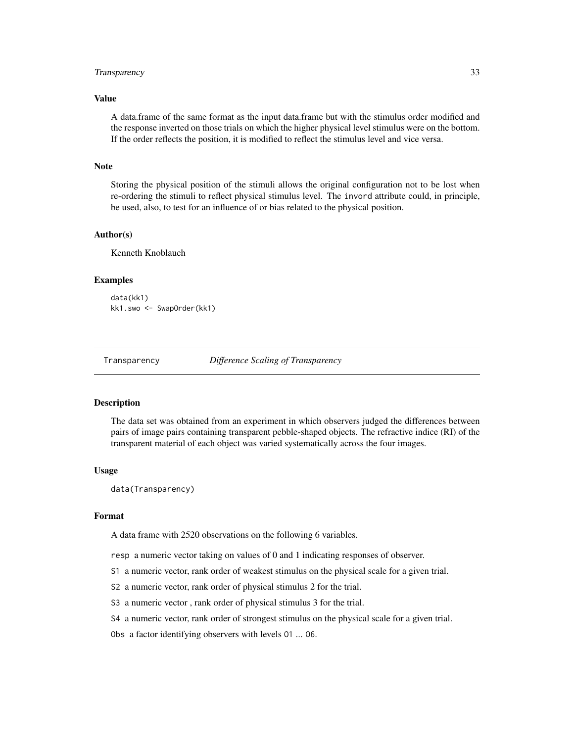#### <span id="page-32-0"></span>Transparency 33

# Value

A data.frame of the same format as the input data.frame but with the stimulus order modified and the response inverted on those trials on which the higher physical level stimulus were on the bottom. If the order reflects the position, it is modified to reflect the stimulus level and vice versa.

# Note

Storing the physical position of the stimuli allows the original configuration not to be lost when re-ordering the stimuli to reflect physical stimulus level. The invord attribute could, in principle, be used, also, to test for an influence of or bias related to the physical position.

#### Author(s)

Kenneth Knoblauch

#### Examples

```
data(kk1)
kk1.swo <- SwapOrder(kk1)
```
Transparency *Difference Scaling of Transparency*

#### Description

The data set was obtained from an experiment in which observers judged the differences between pairs of image pairs containing transparent pebble-shaped objects. The refractive indice (RI) of the transparent material of each object was varied systematically across the four images.

#### Usage

data(Transparency)

#### Format

A data frame with 2520 observations on the following 6 variables.

resp a numeric vector taking on values of 0 and 1 indicating responses of observer.

S1 a numeric vector, rank order of weakest stimulus on the physical scale for a given trial.

- S2 a numeric vector, rank order of physical stimulus 2 for the trial.
- S3 a numeric vector , rank order of physical stimulus 3 for the trial.
- S4 a numeric vector, rank order of strongest stimulus on the physical scale for a given trial.

Obs a factor identifying observers with levels O1 ... O6.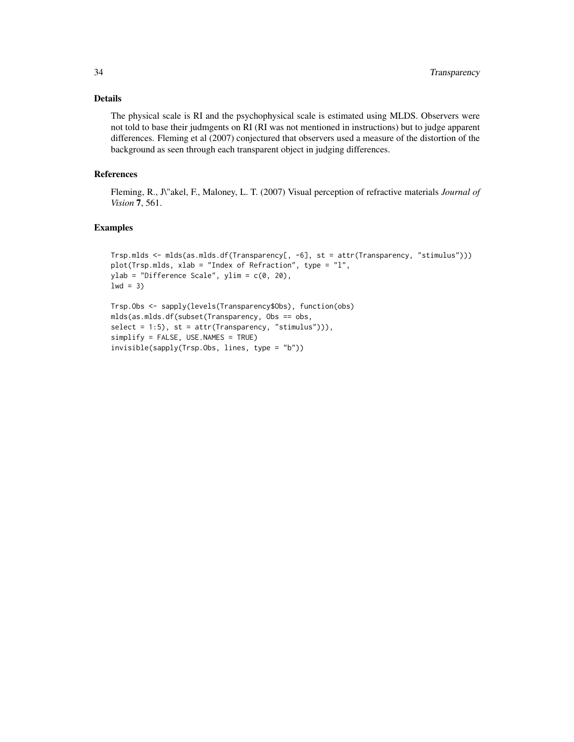# Details

The physical scale is RI and the psychophysical scale is estimated using MLDS. Observers were not told to base their judmgents on RI (RI was not mentioned in instructions) but to judge apparent differences. Fleming et al (2007) conjectured that observers used a measure of the distortion of the background as seen through each transparent object in judging differences.

# References

Fleming, R., J\"akel, F., Maloney, L. T. (2007) Visual perception of refractive materials *Journal of Vision* 7, 561.

```
Trsp.mlds <- mlds(as.mlds.df(Transparency[, -6], st = attr(Transparency, "stimulus")))
plot(Trsp.mlds, xlab = "Index of Refraction", type = "l",
ylab = "Difference Scale", ylim = c(0, 20),
1wd = 3)
```

```
Trsp.Obs <- sapply(levels(Transparency$Obs), function(obs)
mlds(as.mlds.df(subset(Transparency, Obs == obs,
select = 1:5, st = attr(Transparency, "stimulus")),
simplify = FALSE, USE.NAMES = TRUE)
invisible(sapply(Trsp.Obs, lines, type = "b"))
```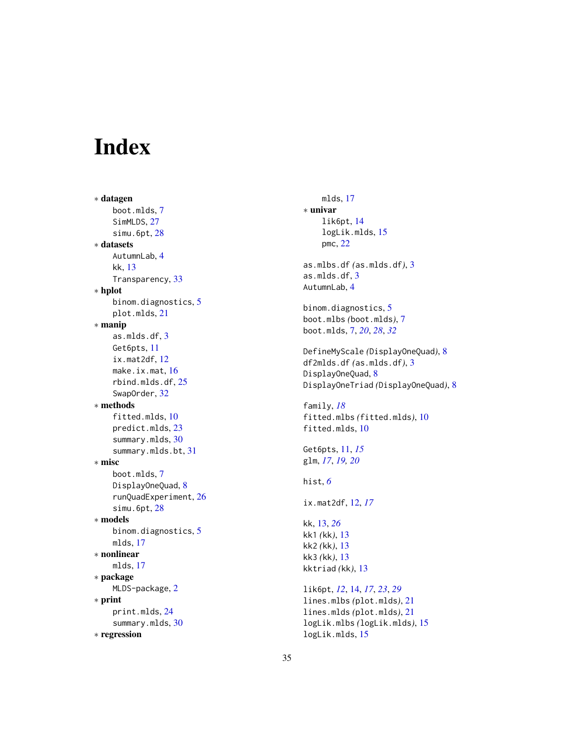# <span id="page-34-0"></span>Index

∗ datagen boot.mlds , [7](#page-6-0) SimMLDS, [27](#page-26-0) simu.6pt , [28](#page-27-0) ∗ datasets AutumnLab , [4](#page-3-0) kk , [13](#page-12-0) Transparency , [33](#page-32-0) ∗ hplot binom.diagnostics , [5](#page-4-0) plot.mlds , [21](#page-20-0) ∗ manip as.mlds.df , [3](#page-2-0) Get6pts , [11](#page-10-0) ix.mat2df , [12](#page-11-0) make.ix.mat, [16](#page-15-0) rbind.mlds.df , [25](#page-24-0) SwapOrder , [32](#page-31-0) ∗ methods fitted.mlds , [10](#page-9-0) predict.mlds , [23](#page-22-0) summary.mlds, [30](#page-29-0) summary.mlds.bt , [31](#page-30-0) ∗ misc boot.mlds , [7](#page-6-0) DisplayOneQuad, [8](#page-7-0) runQuadExperiment , [26](#page-25-0) simu.6pt , [28](#page-27-0) ∗ models binom.diagnostics , [5](#page-4-0) mlds , [17](#page-16-0) ∗ nonlinear mlds , [17](#page-16-0) ∗ package MLDS-package, [2](#page-1-0) ∗ print print.mlds , [24](#page-23-0) summary.mlds, [30](#page-29-0) ∗ regression

mlds , [17](#page-16-0) ∗ univar lik6pt , [14](#page-13-0) logLik.mlds , [15](#page-14-0) pmc , [22](#page-21-0) as.mlbs.df *(*as.mlds.df *)* , [3](#page-2-0) as.mlds.df , [3](#page-2-0) AutumnLab , [4](#page-3-0) binom.diagnostics , [5](#page-4-0) boot.mlbs *(*boot.mlds *)* , [7](#page-6-0) boot.mlds , [7](#page-6-0) , *[20](#page-19-0)* , *[28](#page-27-0)* , *[32](#page-31-0)* DefineMyScale *(*DisplayOneQuad *)* , [8](#page-7-0) df2mlds.df *(*as.mlds.df *)* , [3](#page-2-0) DisplayOneQuad, [8](#page-7-0) DisplayOneTriad *(*DisplayOneQuad *)* , [8](#page-7-0) family , *[18](#page-17-0)* fitted.mlbs *(*fitted.mlds *)* , [10](#page-9-0) fitted.mlds , [10](#page-9-0) Get6pts , [11](#page-10-0) , *[15](#page-14-0)* glm , *[17](#page-16-0)* , *[19](#page-18-0) , [20](#page-19-0)* hist , *[6](#page-5-0)* ix.mat2df , [12](#page-11-0) , *[17](#page-16-0)* kk , [13](#page-12-0) , *[26](#page-25-0)* kk1 *(*kk *)* , [13](#page-12-0) kk2 *(*kk *)* , [13](#page-12-0) kk3 *(*kk *)* , [13](#page-12-0) kktriad *(*kk *)* , [13](#page-12-0) lik6pt , *[12](#page-11-0)* , [14](#page-13-0) , *[17](#page-16-0)* , *[23](#page-22-0)* , *[29](#page-28-0)* lines.mlbs *(*plot.mlds *)* , [21](#page-20-0) lines.mlds *(*plot.mlds *)* , [21](#page-20-0) logLik.mlbs *(*logLik.mlds *)* , [15](#page-14-0) logLik.mlds , [15](#page-14-0)